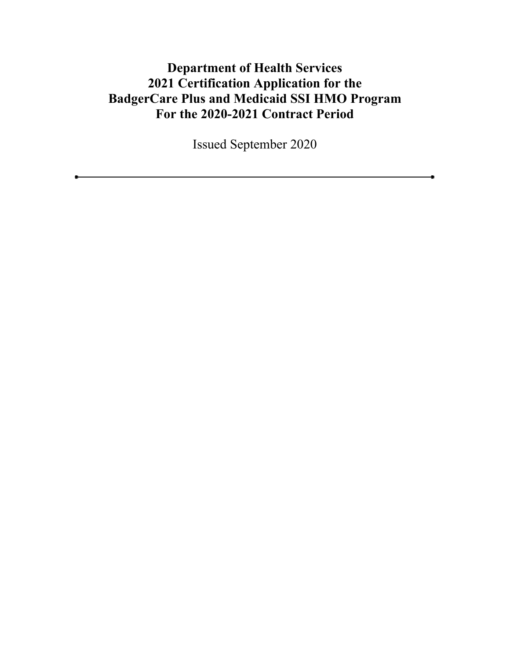# **Department of Health Services 2021 Certification Application for the BadgerCare Plus and Medicaid SSI HMO Program For the 2020-2021 Contract Period**

Issued September 2020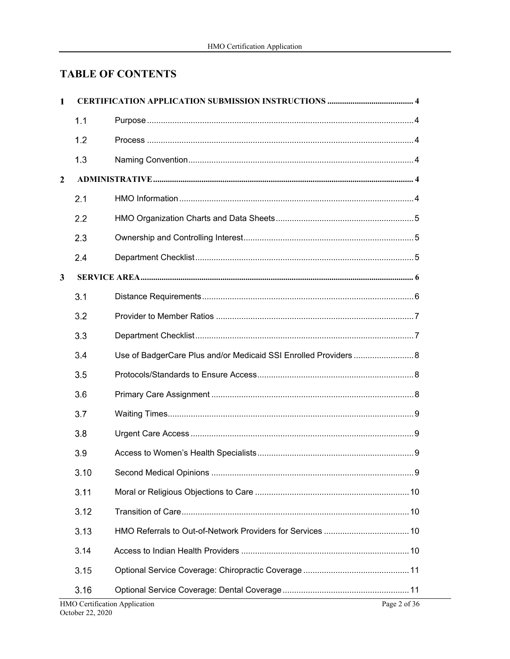# **TABLE OF CONTENTS**

| $\mathbf{1}$   |      |                                                                     |
|----------------|------|---------------------------------------------------------------------|
|                | 1.1  |                                                                     |
|                | 1.2  |                                                                     |
|                | 1.3  |                                                                     |
| $\overline{2}$ |      |                                                                     |
|                | 2.1  |                                                                     |
|                | 2.2  |                                                                     |
|                | 2.3  |                                                                     |
|                | 2.4  |                                                                     |
| $\mathbf{3}$   |      |                                                                     |
|                | 3.1  |                                                                     |
|                | 3.2  |                                                                     |
|                | 3.3  |                                                                     |
|                | 3.4  | Use of BadgerCare Plus and/or Medicaid SSI Enrolled Providers 8     |
|                | 3.5  |                                                                     |
|                | 3.6  |                                                                     |
|                | 3.7  |                                                                     |
|                | 3.8  |                                                                     |
|                | 3.9  |                                                                     |
|                | 3.10 |                                                                     |
|                | 3.11 |                                                                     |
|                | 3.12 |                                                                     |
|                | 3.13 |                                                                     |
|                | 3.14 |                                                                     |
|                | 3.15 |                                                                     |
|                | 3.16 | $IIMO$ $C$ artification Anglication<br>$D_{\text{max}} 2 \times 26$ |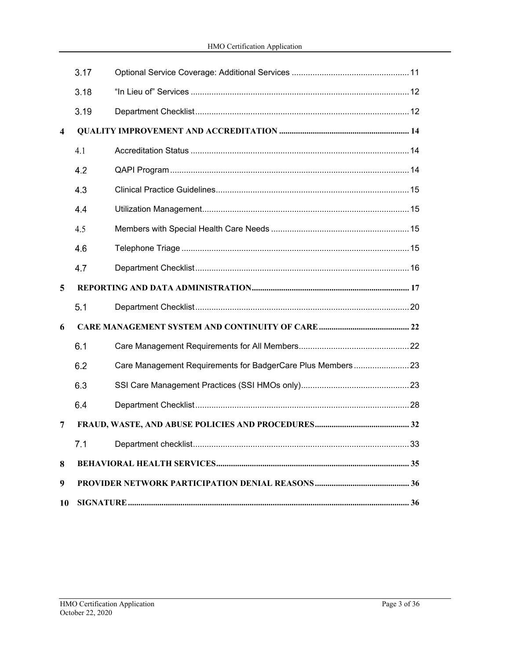|   | 3.17         |                                                             |    |
|---|--------------|-------------------------------------------------------------|----|
|   | 3.18         |                                                             |    |
|   | 3.19         |                                                             |    |
| 4 |              |                                                             |    |
|   | 4.1          |                                                             |    |
|   | 4.2          |                                                             |    |
|   | 4.3          |                                                             |    |
|   | 4.4          |                                                             |    |
|   | 4.5          |                                                             |    |
|   | 4.6          |                                                             |    |
|   | 4.7          |                                                             |    |
| 5 |              |                                                             |    |
|   | 5.1          |                                                             |    |
| 6 |              |                                                             |    |
|   | 6.1          |                                                             |    |
|   | 6.2          | Care Management Requirements for BadgerCare Plus Members 23 |    |
|   | 6.3          |                                                             |    |
|   | 6.4          |                                                             |    |
| 7 |              |                                                             |    |
|   | 7.1          |                                                             |    |
| 8 |              |                                                             |    |
| 9 |              |                                                             |    |
|   | 10 SIGNATURE |                                                             | 36 |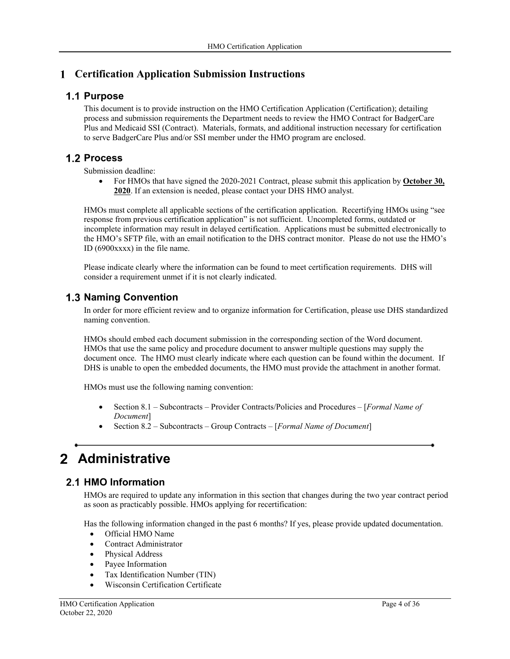# **Certification Application Submission Instructions**

#### **1.1 Purpose**

This document is to provide instruction on the HMO Certification Application (Certification); detailing process and submission requirements the Department needs to review the HMO Contract for BadgerCare Plus and Medicaid SSI (Contract). Materials, formats, and additional instruction necessary for certification to serve BadgerCare Plus and/or SSI member under the HMO program are enclosed.

## **1.2 Process**

Submission deadline:

 For HMOs that have signed the 2020-2021 Contract, please submit this application by **October 30, 2020**. If an extension is needed, please contact your DHS HMO analyst.

HMOs must complete all applicable sections of the certification application. Recertifying HMOs using "see response from previous certification application" is not sufficient. Uncompleted forms, outdated or incomplete information may result in delayed certification. Applications must be submitted electronically to the HMO's SFTP file, with an email notification to the DHS contract monitor. Please do not use the HMO's ID (6900xxxx) in the file name.

Please indicate clearly where the information can be found to meet certification requirements. DHS will consider a requirement unmet if it is not clearly indicated.

### **1.3 Naming Convention**

In order for more efficient review and to organize information for Certification, please use DHS standardized naming convention.

HMOs should embed each document submission in the corresponding section of the Word document. HMOs that use the same policy and procedure document to answer multiple questions may supply the document once. The HMO must clearly indicate where each question can be found within the document. If DHS is unable to open the embedded documents, the HMO must provide the attachment in another format.

HMOs must use the following naming convention:

- Section 8.1 Subcontracts Provider Contracts/Policies and Procedures [*Formal Name of Document*]
- Section 8.2 Subcontracts Group Contracts [*Formal Name of Document*]

# **Administrative**

## **2.1 HMO Information**

HMOs are required to update any information in this section that changes during the two year contract period as soon as practicably possible. HMOs applying for recertification:

Has the following information changed in the past 6 months? If yes, please provide updated documentation.

- Official HMO Name
- Contract Administrator
- Physical Address
- Payee Information
- Tax Identification Number (TIN)
- Wisconsin Certification Certificate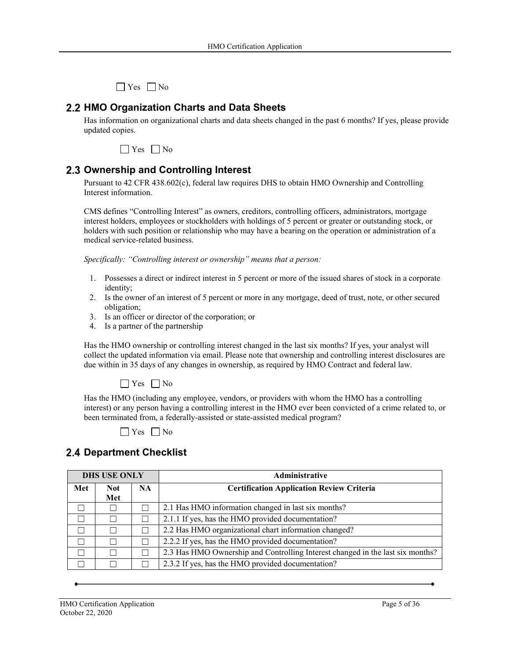$\Box$  Yes  $\Box$  No

#### **HMO Organization Charts and Data Sheets**

Has information on organizational charts and data sheets changed in the past 6 months? If yes, please provide updated copies.



## **2.3 Ownership and Controlling Interest**

Pursuant to 42 CFR 438.602(c), federal law requires DHS to obtain HMO Ownership and Controlling Interest information.

CMS defines "Controlling Interest" as owners, creditors, controlling officers, administrators, mortgage interest holders, employees or stockholders with holdings of 5 percent or greater or outstanding stock, or holders with such position or relationship who may have a bearing on the operation or administration of a medical service-related business.

*Specifically: "Controlling interest or ownership" means that a person:* 

- 1. Possesses a direct or indirect interest in 5 percent or more of the issued shares of stock in a corporate identity;
- 2. Is the owner of an interest of 5 percent or more in any mortgage, deed of trust, note, or other secured obligation;
- 3. Is an officer or director of the corporation; or
- 4. Is a partner of the partnership

Has the HMO ownership or controlling interest changed in the last six months? If yes, your analyst will collect the updated information via email. Please note that ownership and controlling interest disclosures are due within in 35 days of any changes in ownership, as required by HMO Contract and federal law.



Has the HMO (including any employee, vendors, or providers with whom the HMO has a controlling interest) or any person having a controlling interest in the HMO ever been convicted of a crime related to, or been terminated from, a federally-assisted or state-assisted medical program?

|     | <b>DHS USE ONLY</b> |           | Administrative                                                                 |  |
|-----|---------------------|-----------|--------------------------------------------------------------------------------|--|
| Met | <b>Not</b>          | <b>NA</b> | <b>Certification Application Review Criteria</b>                               |  |
|     | Met                 |           |                                                                                |  |
|     |                     |           | 2.1 Has HMO information changed in last six months?                            |  |
|     |                     |           | 2.1.1 If yes, has the HMO provided documentation?                              |  |
|     |                     |           | 2.2 Has HMO organizational chart information changed?                          |  |
|     |                     |           | 2.2.2 If yes, has the HMO provided documentation?                              |  |
|     |                     |           | 2.3 Has HMO Ownership and Controlling Interest changed in the last six months? |  |
|     |                     |           | 2.3.2 If yes, has the HMO provided documentation?                              |  |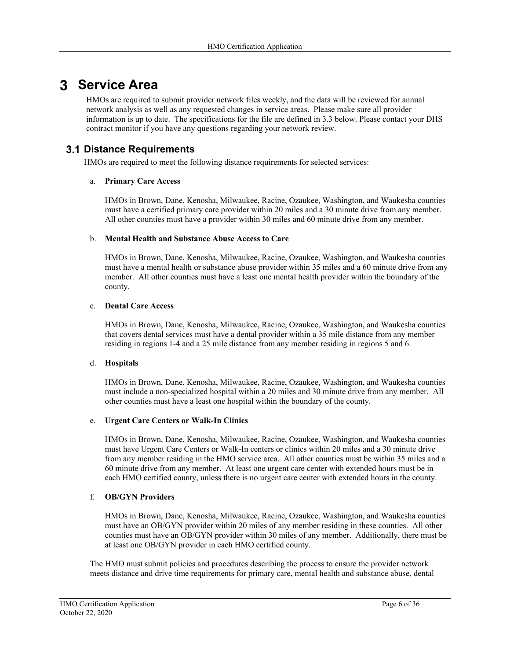# **Service Area**

HMOs are required to submit provider network files weekly, and the data will be reviewed for annual network analysis as well as any requested changes in service areas. Please make sure all provider information is up to date. The specifications for the file are defined in 3.3 below. Please contact your DHS contract monitor if you have any questions regarding your network review.

#### **Distance Requirements**

HMOs are required to meet the following distance requirements for selected services:

#### a. **Primary Care Access**

HMOs in Brown, Dane, Kenosha, Milwaukee, Racine, Ozaukee, Washington, and Waukesha counties must have a certified primary care provider within 20 miles and a 30 minute drive from any member. All other counties must have a provider within 30 miles and 60 minute drive from any member.

#### b. **Mental Health and Substance Abuse Access to Care**

HMOs in Brown, Dane, Kenosha, Milwaukee, Racine, Ozaukee, Washington, and Waukesha counties must have a mental health or substance abuse provider within 35 miles and a 60 minute drive from any member. All other counties must have a least one mental health provider within the boundary of the county.

#### c. **Dental Care Access**

HMOs in Brown, Dane, Kenosha, Milwaukee, Racine, Ozaukee, Washington, and Waukesha counties that covers dental services must have a dental provider within a 35 mile distance from any member residing in regions 1-4 and a 25 mile distance from any member residing in regions 5 and 6.

#### d. **Hospitals**

HMOs in Brown, Dane, Kenosha, Milwaukee, Racine, Ozaukee, Washington, and Waukesha counties must include a non-specialized hospital within a 20 miles and 30 minute drive from any member. All other counties must have a least one hospital within the boundary of the county.

#### e. **Urgent Care Centers or Walk-In Clinics**

HMOs in Brown, Dane, Kenosha, Milwaukee, Racine, Ozaukee, Washington, and Waukesha counties must have Urgent Care Centers or Walk-In centers or clinics within 20 miles and a 30 minute drive from any member residing in the HMO service area. All other counties must be within 35 miles and a 60 minute drive from any member. At least one urgent care center with extended hours must be in each HMO certified county, unless there is no urgent care center with extended hours in the county.

#### f. **OB/GYN Providers**

HMOs in Brown, Dane, Kenosha, Milwaukee, Racine, Ozaukee, Washington, and Waukesha counties must have an OB/GYN provider within 20 miles of any member residing in these counties. All other counties must have an OB/GYN provider within 30 miles of any member. Additionally, there must be at least one OB/GYN provider in each HMO certified county.

The HMO must submit policies and procedures describing the process to ensure the provider network meets distance and drive time requirements for primary care, mental health and substance abuse, dental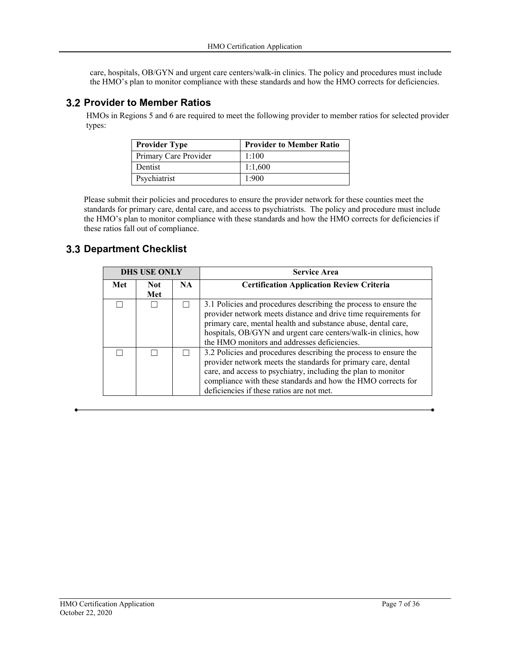care, hospitals, OB/GYN and urgent care centers/walk-in clinics. The policy and procedures must include the HMO's plan to monitor compliance with these standards and how the HMO corrects for deficiencies.

#### **3.2 Provider to Member Ratios**

 HMOs in Regions 5 and 6 are required to meet the following provider to member ratios for selected provider types:

| <b>Provider Type</b>  | <b>Provider to Member Ratio</b> |
|-----------------------|---------------------------------|
| Primary Care Provider | 1:100                           |
| Dentist               | 1:1,600                         |
| Psychiatrist          | 1:900                           |

Please submit their policies and procedures to ensure the provider network for these counties meet the standards for primary care, dental care, and access to psychiatrists. The policy and procedure must include the HMO's plan to monitor compliance with these standards and how the HMO corrects for deficiencies if these ratios fall out of compliance.

| <b>DHS USE ONLY</b> |                   |           | <b>Service Area</b>                                                                                                                                                                                                                                                                                                    |  |
|---------------------|-------------------|-----------|------------------------------------------------------------------------------------------------------------------------------------------------------------------------------------------------------------------------------------------------------------------------------------------------------------------------|--|
| Met                 | <b>Not</b><br>Met | <b>NA</b> | <b>Certification Application Review Criteria</b>                                                                                                                                                                                                                                                                       |  |
|                     |                   |           | 3.1 Policies and procedures describing the process to ensure the<br>provider network meets distance and drive time requirements for<br>primary care, mental health and substance abuse, dental care,<br>hospitals, OB/GYN and urgent care centers/walk-in clinics, how<br>the HMO monitors and addresses deficiencies. |  |
|                     |                   |           | 3.2 Policies and procedures describing the process to ensure the<br>provider network meets the standards for primary care, dental<br>care, and access to psychiatry, including the plan to monitor<br>compliance with these standards and how the HMO corrects for<br>deficiencies if these ratios are not met.        |  |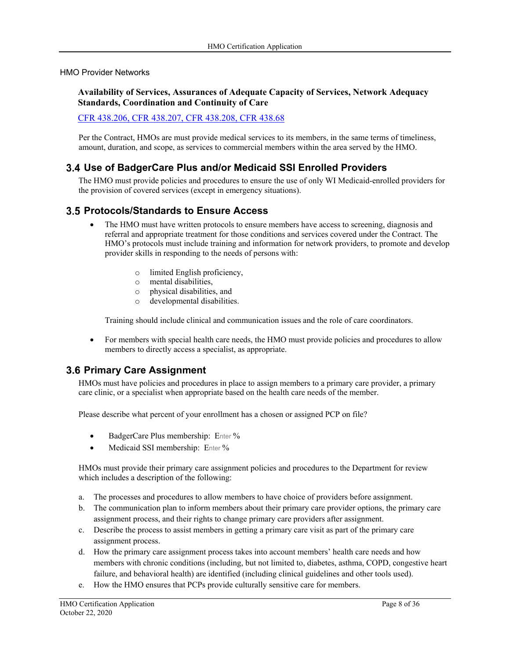#### HMO Provider Networks

#### **Availability of Services, Assurances of Adequate Capacity of Services, Network Adequacy Standards, Coordination and Continuity of Care**

#### CFR 438.206, CFR 438.207, CFR 438.208, CFR 438.68

Per the Contract, HMOs are must provide medical services to its members, in the same terms of timeliness, amount, duration, and scope, as services to commercial members within the area served by the HMO.

#### **Use of BadgerCare Plus and/or Medicaid SSI Enrolled Providers**

The HMO must provide policies and procedures to ensure the use of only WI Medicaid-enrolled providers for the provision of covered services (except in emergency situations).

#### **Protocols/Standards to Ensure Access**

- The HMO must have written protocols to ensure members have access to screening, diagnosis and referral and appropriate treatment for those conditions and services covered under the Contract. The HMO's protocols must include training and information for network providers, to promote and develop provider skills in responding to the needs of persons with:
	- o limited English proficiency,
	- o mental disabilities,
	- o physical disabilities, and
	- o developmental disabilities.

Training should include clinical and communication issues and the role of care coordinators.

• For members with special health care needs, the HMO must provide policies and procedures to allow members to directly access a specialist, as appropriate.

## **3.6 Primary Care Assignment**

HMOs must have policies and procedures in place to assign members to a primary care provider, a primary care clinic, or a specialist when appropriate based on the health care needs of the member.

Please describe what percent of your enrollment has a chosen or assigned PCP on file?

- BadgerCare Plus membership: Enter %
- Medicaid SSI membership: Enter %

HMOs must provide their primary care assignment policies and procedures to the Department for review which includes a description of the following:

- a. The processes and procedures to allow members to have choice of providers before assignment.
- b. The communication plan to inform members about their primary care provider options, the primary care assignment process, and their rights to change primary care providers after assignment.
- c. Describe the process to assist members in getting a primary care visit as part of the primary care assignment process.
- d. How the primary care assignment process takes into account members' health care needs and how members with chronic conditions (including, but not limited to, diabetes, asthma, COPD, congestive heart failure, and behavioral health) are identified (including clinical guidelines and other tools used).
- e. How the HMO ensures that PCPs provide culturally sensitive care for members.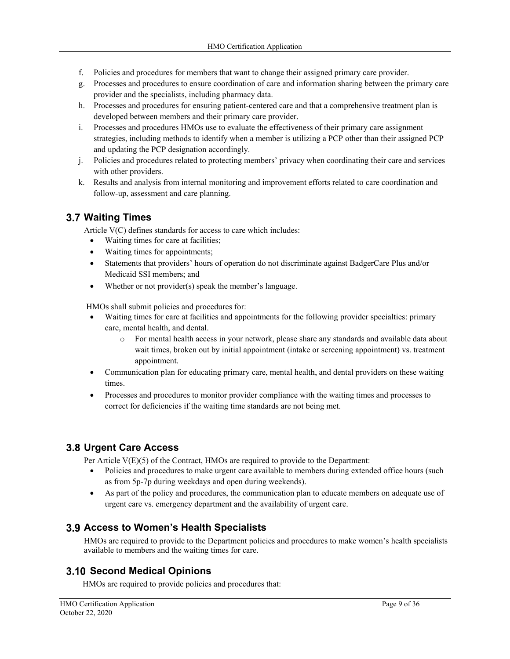- f. Policies and procedures for members that want to change their assigned primary care provider.
- g. Processes and procedures to ensure coordination of care and information sharing between the primary care provider and the specialists, including pharmacy data.
- h. Processes and procedures for ensuring patient-centered care and that a comprehensive treatment plan is developed between members and their primary care provider.
- i. Processes and procedures HMOs use to evaluate the effectiveness of their primary care assignment strategies, including methods to identify when a member is utilizing a PCP other than their assigned PCP and updating the PCP designation accordingly.
- j. Policies and procedures related to protecting members' privacy when coordinating their care and services with other providers.
- k. Results and analysis from internal monitoring and improvement efforts related to care coordination and follow-up, assessment and care planning.

## **Waiting Times**

Article V(C) defines standards for access to care which includes:

- Waiting times for care at facilities;
- Waiting times for appointments;
- Statements that providers' hours of operation do not discriminate against BadgerCare Plus and/or Medicaid SSI members; and
- Whether or not provider(s) speak the member's language.

HMOs shall submit policies and procedures for:

- Waiting times for care at facilities and appointments for the following provider specialties: primary care, mental health, and dental.
	- o For mental health access in your network, please share any standards and available data about wait times, broken out by initial appointment (intake or screening appointment) vs. treatment appointment.
- Communication plan for educating primary care, mental health, and dental providers on these waiting times.
- Processes and procedures to monitor provider compliance with the waiting times and processes to correct for deficiencies if the waiting time standards are not being met.

# **Urgent Care Access**

Per Article V(E)(5) of the Contract, HMOs are required to provide to the Department:

- Policies and procedures to make urgent care available to members during extended office hours (such as from 5p-7p during weekdays and open during weekends).
- As part of the policy and procedures, the communication plan to educate members on adequate use of urgent care vs. emergency department and the availability of urgent care.

# **Access to Women's Health Specialists**

HMOs are required to provide to the Department policies and procedures to make women's health specialists available to members and the waiting times for care.

# **Second Medical Opinions**

HMOs are required to provide policies and procedures that: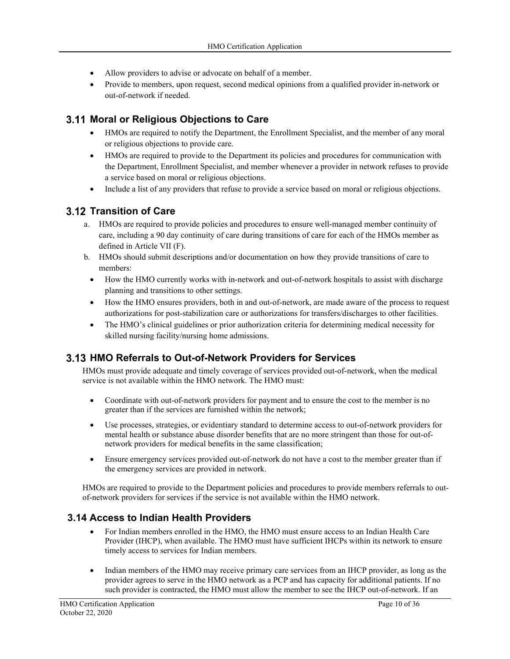- Allow providers to advise or advocate on behalf of a member.
- Provide to members, upon request, second medical opinions from a qualified provider in-network or out-of-network if needed.

## **Moral or Religious Objections to Care**

- HMOs are required to notify the Department, the Enrollment Specialist, and the member of any moral or religious objections to provide care.
- HMOs are required to provide to the Department its policies and procedures for communication with the Department, Enrollment Specialist, and member whenever a provider in network refuses to provide a service based on moral or religious objections.
- Include a list of any providers that refuse to provide a service based on moral or religious objections.

## **3.12 Transition of Care**

- a. HMOs are required to provide policies and procedures to ensure well-managed member continuity of care, including a 90 day continuity of care during transitions of care for each of the HMOs member as defined in Article VII (F).
- b. HMOs should submit descriptions and/or documentation on how they provide transitions of care to members:
	- How the HMO currently works with in-network and out-of-network hospitals to assist with discharge planning and transitions to other settings.
	- How the HMO ensures providers, both in and out-of-network, are made aware of the process to request authorizations for post-stabilization care or authorizations for transfers/discharges to other facilities.
	- The HMO's clinical guidelines or prior authorization criteria for determining medical necessity for skilled nursing facility/nursing home admissions.

## **HMO Referrals to Out-of-Network Providers for Services**

HMOs must provide adequate and timely coverage of services provided out-of-network, when the medical service is not available within the HMO network. The HMO must:

- Coordinate with out-of-network providers for payment and to ensure the cost to the member is no greater than if the services are furnished within the network;
- Use processes, strategies, or evidentiary standard to determine access to out-of-network providers for mental health or substance abuse disorder benefits that are no more stringent than those for out-ofnetwork providers for medical benefits in the same classification;
- Ensure emergency services provided out-of-network do not have a cost to the member greater than if the emergency services are provided in network.

HMOs are required to provide to the Department policies and procedures to provide members referrals to outof-network providers for services if the service is not available within the HMO network.

## **3.14 Access to Indian Health Providers**

- For Indian members enrolled in the HMO, the HMO must ensure access to an Indian Health Care Provider (IHCP), when available. The HMO must have sufficient IHCPs within its network to ensure timely access to services for Indian members.
- Indian members of the HMO may receive primary care services from an IHCP provider, as long as the provider agrees to serve in the HMO network as a PCP and has capacity for additional patients. If no such provider is contracted, the HMO must allow the member to see the IHCP out-of-network. If an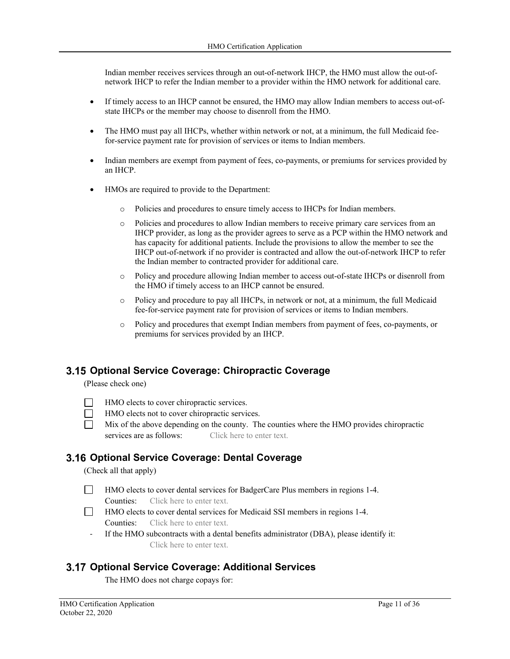Indian member receives services through an out-of-network IHCP, the HMO must allow the out-ofnetwork IHCP to refer the Indian member to a provider within the HMO network for additional care.

- If timely access to an IHCP cannot be ensured, the HMO may allow Indian members to access out-ofstate IHCPs or the member may choose to disenroll from the HMO.
- The HMO must pay all IHCPs, whether within network or not, at a minimum, the full Medicaid feefor-service payment rate for provision of services or items to Indian members.
- Indian members are exempt from payment of fees, co-payments, or premiums for services provided by an IHCP.
- HMOs are required to provide to the Department:
	- o Policies and procedures to ensure timely access to IHCPs for Indian members.
	- o Policies and procedures to allow Indian members to receive primary care services from an IHCP provider, as long as the provider agrees to serve as a PCP within the HMO network and has capacity for additional patients. Include the provisions to allow the member to see the IHCP out-of-network if no provider is contracted and allow the out-of-network IHCP to refer the Indian member to contracted provider for additional care.
	- o Policy and procedure allowing Indian member to access out-of-state IHCPs or disenroll from the HMO if timely access to an IHCP cannot be ensured.
	- o Policy and procedure to pay all IHCPs, in network or not, at a minimum, the full Medicaid fee-for-service payment rate for provision of services or items to Indian members.
	- o Policy and procedures that exempt Indian members from payment of fees, co-payments, or premiums for services provided by an IHCP.

#### **Optional Service Coverage: Chiropractic Coverage**

(Please check one)

- **HMO** elects to cover chiropractic services.
- HMO elects not to cover chiropractic services.
- $\Box$  Mix of the above depending on the county. The counties where the HMO provides chiropractic services are as follows: Click here to enter text.

#### **Optional Service Coverage: Dental Coverage**

(Check all that apply)

- HMO elects to cover dental services for BadgerCare Plus members in regions 1-4. Counties: Click here to enter text.
- HMO elects to cover dental services for Medicaid SSI members in regions 1-4. Counties: Click here to enter text.
	- ‐ If the HMO subcontracts with a dental benefits administrator (DBA), please identify it: Click here to enter text.

#### **Optional Service Coverage: Additional Services**

The HMO does not charge copays for: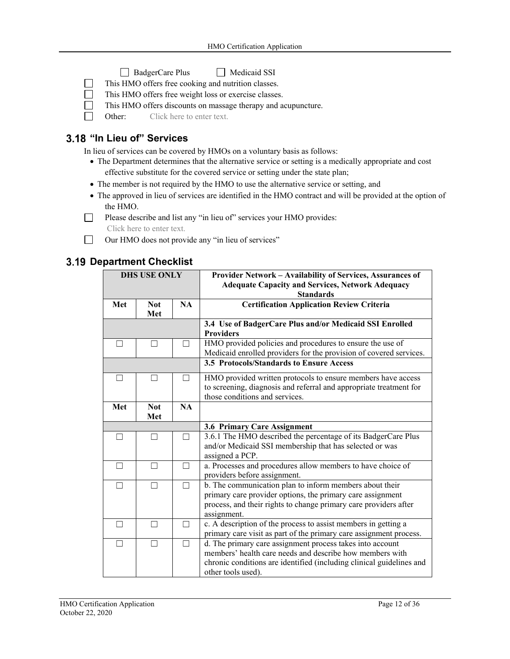- BadgerCare Plus Medicaid SSI
- $\Box$  This HMO offers free cooking and nutrition classes.
- This HMO offers free weight loss or exercise classes.
- This HMO offers discounts on massage therapy and acupuncture.

 $\Box$  Other: Click here to enter text.

### **3.18 "In Lieu of" Services**

In lieu of services can be covered by HMOs on a voluntary basis as follows:

- The Department determines that the alternative service or setting is a medically appropriate and cost effective substitute for the covered service or setting under the state plan;
- The member is not required by the HMO to use the alternative service or setting, and
- The approved in lieu of services are identified in the HMO contract and will be provided at the option of the HMO.
- Please describe and list any "in lieu of" services your HMO provides:
	- Click here to enter text.
- □ Our HMO does not provide any "in lieu of services"

|     | <b>DHS USE ONLY</b> |                                                                    | Provider Network - Availability of Services, Assurances of<br><b>Adequate Capacity and Services, Network Adequacy</b> |  |
|-----|---------------------|--------------------------------------------------------------------|-----------------------------------------------------------------------------------------------------------------------|--|
|     |                     |                                                                    | <b>Standards</b>                                                                                                      |  |
| Met | <b>Not</b>          | <b>NA</b>                                                          | <b>Certification Application Review Criteria</b>                                                                      |  |
|     | Met                 |                                                                    |                                                                                                                       |  |
|     |                     |                                                                    | 3.4 Use of BadgerCare Plus and/or Medicaid SSI Enrolled<br><b>Providers</b>                                           |  |
| ┐   | ┓                   |                                                                    | HMO provided policies and procedures to ensure the use of                                                             |  |
|     |                     | Medicaid enrolled providers for the provision of covered services. |                                                                                                                       |  |
|     |                     |                                                                    | 3.5 Protocols/Standards to Ensure Access                                                                              |  |
| П   | П                   | $\Box$                                                             | HMO provided written protocols to ensure members have access                                                          |  |
|     |                     |                                                                    | to screening, diagnosis and referral and appropriate treatment for                                                    |  |
|     |                     |                                                                    | those conditions and services.                                                                                        |  |
| Met | <b>Not</b>          | <b>NA</b>                                                          |                                                                                                                       |  |
| Met |                     |                                                                    |                                                                                                                       |  |
|     |                     |                                                                    | 3.6 Primary Care Assignment                                                                                           |  |
| П   | ┑                   | П                                                                  | 3.6.1 The HMO described the percentage of its BadgerCare Plus                                                         |  |
|     |                     |                                                                    | and/or Medicaid SSI membership that has selected or was                                                               |  |
|     |                     |                                                                    | assigned a PCP.                                                                                                       |  |
| П   | П                   | П                                                                  | a. Processes and procedures allow members to have choice of                                                           |  |
|     |                     |                                                                    | providers before assignment.                                                                                          |  |
| П   | $\Box$              |                                                                    | b. The communication plan to inform members about their                                                               |  |
|     |                     |                                                                    | primary care provider options, the primary care assignment                                                            |  |
|     |                     |                                                                    | process, and their rights to change primary care providers after                                                      |  |
|     |                     |                                                                    | assignment.                                                                                                           |  |
| П   | П                   | П                                                                  | c. A description of the process to assist members in getting a                                                        |  |
|     |                     |                                                                    | primary care visit as part of the primary care assignment process.                                                    |  |
| П   | П                   | П                                                                  | d. The primary care assignment process takes into account                                                             |  |
|     |                     |                                                                    | members' health care needs and describe how members with                                                              |  |
|     |                     |                                                                    | chronic conditions are identified (including clinical guidelines and                                                  |  |
|     |                     |                                                                    | other tools used).                                                                                                    |  |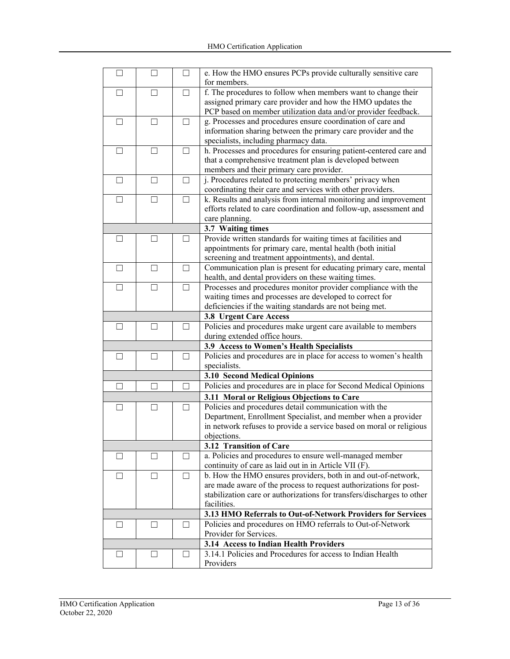| П            | П                                                           | П       | e. How the HMO ensures PCPs provide culturally sensitive care<br>for members. |  |  |
|--------------|-------------------------------------------------------------|---------|-------------------------------------------------------------------------------|--|--|
|              | $\Box$                                                      |         | f. The procedures to follow when members want to change their                 |  |  |
| $\perp$      |                                                             | $\perp$ |                                                                               |  |  |
|              |                                                             |         | assigned primary care provider and how the HMO updates the                    |  |  |
|              |                                                             |         | PCP based on member utilization data and/or provider feedback.                |  |  |
| $\Box$       | П                                                           | $\Box$  | g. Processes and procedures ensure coordination of care and                   |  |  |
|              |                                                             |         | information sharing between the primary care provider and the                 |  |  |
|              |                                                             |         | specialists, including pharmacy data.                                         |  |  |
| ⊔            | $\Box$                                                      | $\Box$  | h. Processes and procedures for ensuring patient-centered care and            |  |  |
|              |                                                             |         | that a comprehensive treatment plan is developed between                      |  |  |
|              |                                                             |         | members and their primary care provider.                                      |  |  |
| $\Box$       | П                                                           | $\Box$  | j. Procedures related to protecting members' privacy when                     |  |  |
|              |                                                             |         | coordinating their care and services with other providers.                    |  |  |
| $\Box$       | П                                                           | П       | k. Results and analysis from internal monitoring and improvement              |  |  |
|              |                                                             |         | efforts related to care coordination and follow-up, assessment and            |  |  |
|              |                                                             |         | care planning.                                                                |  |  |
|              |                                                             |         | 3.7 Waiting times                                                             |  |  |
| $\Box$       | П                                                           | П       | Provide written standards for waiting times at facilities and                 |  |  |
|              |                                                             |         | appointments for primary care, mental health (both initial                    |  |  |
|              |                                                             |         | screening and treatment appointments), and dental.                            |  |  |
|              |                                                             |         |                                                                               |  |  |
| $\Box$       | $\Box$                                                      | $\Box$  | Communication plan is present for educating primary care, mental              |  |  |
|              |                                                             |         | health, and dental providers on these waiting times.                          |  |  |
| $\Box$       | $\perp$                                                     | $\Box$  | Processes and procedures monitor provider compliance with the                 |  |  |
|              |                                                             |         | waiting times and processes are developed to correct for                      |  |  |
|              |                                                             |         | deficiencies if the waiting standards are not being met.                      |  |  |
|              |                                                             |         | <b>3.8 Urgent Care Access</b>                                                 |  |  |
| $\perp$      | $\Box$                                                      | $\Box$  | Policies and procedures make urgent care available to members                 |  |  |
|              |                                                             |         | during extended office hours.                                                 |  |  |
|              |                                                             |         | 3.9 Access to Women's Health Specialists                                      |  |  |
| $\mathsf{L}$ |                                                             | $\Box$  | Policies and procedures are in place for access to women's health             |  |  |
|              |                                                             |         | specialists.                                                                  |  |  |
|              |                                                             |         | 3.10 Second Medical Opinions                                                  |  |  |
|              |                                                             |         | Policies and procedures are in place for Second Medical Opinions              |  |  |
|              |                                                             |         | 3.11 Moral or Religious Objections to Care                                    |  |  |
| $\perp$      | $\Box$                                                      | $\Box$  | Policies and procedures detail communication with the                         |  |  |
|              |                                                             |         | Department, Enrollment Specialist, and member when a provider                 |  |  |
|              |                                                             |         | in network refuses to provide a service based on moral or religious           |  |  |
|              |                                                             |         | objections.                                                                   |  |  |
|              |                                                             |         |                                                                               |  |  |
|              |                                                             |         | 3.12 Transition of Care                                                       |  |  |
| $\mathsf{L}$ |                                                             |         | a. Policies and procedures to ensure well-managed member                      |  |  |
|              |                                                             |         | continuity of care as laid out in in Article VII (F).                         |  |  |
| $\Box$       | $\overline{\phantom{a}}$                                    |         | b. How the HMO ensures providers, both in and out-of-network,                 |  |  |
|              |                                                             |         | are made aware of the process to request authorizations for post-             |  |  |
|              |                                                             |         | stabilization care or authorizations for transfers/discharges to other        |  |  |
|              |                                                             |         | facilities.                                                                   |  |  |
|              | 3.13 HMO Referrals to Out-of-Network Providers for Services |         |                                                                               |  |  |
| $\Box$       | $\vert \ \ \vert$                                           |         | Policies and procedures on HMO referrals to Out-of-Network                    |  |  |
|              |                                                             |         | Provider for Services.                                                        |  |  |
|              |                                                             |         | 3.14 Access to Indian Health Providers                                        |  |  |
| ⊔            | ⊔                                                           | - 1     | 3.14.1 Policies and Procedures for access to Indian Health                    |  |  |
|              |                                                             |         | Providers                                                                     |  |  |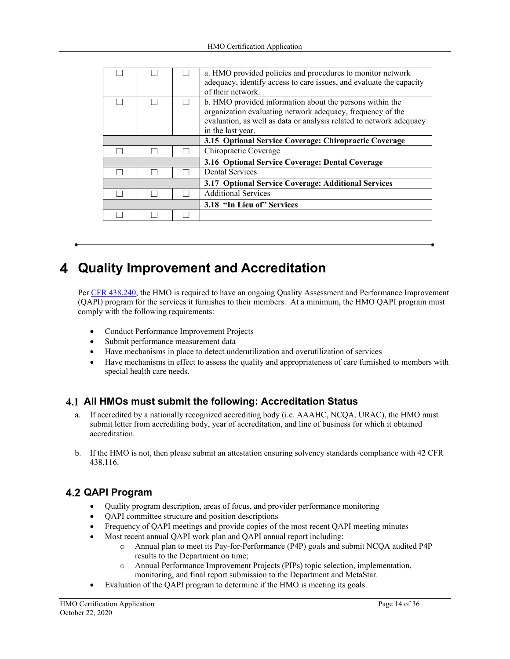|  |  |  | a. HMO provided policies and procedures to monitor network<br>adequacy, identify access to care issues, and evaluate the capacity<br>of their network.                                                             |  |
|--|--|--|--------------------------------------------------------------------------------------------------------------------------------------------------------------------------------------------------------------------|--|
|  |  |  | b. HMO provided information about the persons within the<br>organization evaluating network adequacy, frequency of the<br>evaluation, as well as data or analysis related to network adequacy<br>in the last year. |  |
|  |  |  | 3.15 Optional Service Coverage: Chiropractic Coverage                                                                                                                                                              |  |
|  |  |  | Chiropractic Coverage                                                                                                                                                                                              |  |
|  |  |  | 3.16 Optional Service Coverage: Dental Coverage                                                                                                                                                                    |  |
|  |  |  | <b>Dental Services</b>                                                                                                                                                                                             |  |
|  |  |  | 3.17 Optional Service Coverage: Additional Services                                                                                                                                                                |  |
|  |  |  | <b>Additional Services</b>                                                                                                                                                                                         |  |
|  |  |  | 3.18 "In Lieu of" Services                                                                                                                                                                                         |  |
|  |  |  |                                                                                                                                                                                                                    |  |

# **Quality Improvement and Accreditation**

Per CFR 438.240, the HMO is required to have an ongoing Quality Assessment and Performance Improvement (QAPI) program for the services it furnishes to their members. At a minimum, the HMO QAPI program must comply with the following requirements:

- Conduct Performance Improvement Projects
- Submit performance measurement data
- Have mechanisms in place to detect underutilization and overutilization of services
- Have mechanisms in effect to assess the quality and appropriateness of care furnished to members with special health care needs.

## **All HMOs must submit the following: Accreditation Status**

- a. If accredited by a nationally recognized accrediting body (i.e. AAAHC, NCQA, URAC), the HMO must submit letter from accrediting body, year of accreditation, and line of business for which it obtained accreditation.
- b. If the HMO is not, then please submit an attestation ensuring solvency standards compliance with 42 CFR 438.116.

# **QAPI Program**

- Quality program description, areas of focus, and provider performance monitoring
- QAPI committee structure and position descriptions
- Frequency of QAPI meetings and provide copies of the most recent QAPI meeting minutes
- Most recent annual QAPI work plan and QAPI annual report including:
	- o Annual plan to meet its Pay-for-Performance (P4P) goals and submit NCQA audited P4P results to the Department on time;
	- o Annual Performance Improvement Projects (PIPs) topic selection, implementation, monitoring, and final report submission to the Department and MetaStar.
- Evaluation of the QAPI program to determine if the HMO is meeting its goals.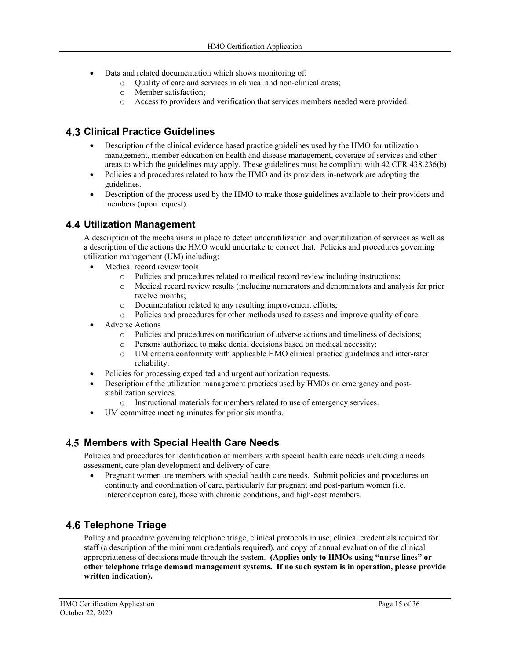- Data and related documentation which shows monitoring of:
	- o Quality of care and services in clinical and non-clinical areas;
	- o Member satisfaction;
	- o Access to providers and verification that services members needed were provided.

### **Clinical Practice Guidelines**

- Description of the clinical evidence based practice guidelines used by the HMO for utilization management, member education on health and disease management, coverage of services and other areas to which the guidelines may apply. These guidelines must be compliant with 42 CFR 438.236(b)
- Policies and procedures related to how the HMO and its providers in-network are adopting the guidelines.
- Description of the process used by the HMO to make those guidelines available to their providers and members (upon request).

### **Utilization Management**

A description of the mechanisms in place to detect underutilization and overutilization of services as well as a description of the actions the HMO would undertake to correct that. Policies and procedures governing utilization management (UM) including:

- Medical record review tools
	- o Policies and procedures related to medical record review including instructions;
	- o Medical record review results (including numerators and denominators and analysis for prior twelve months;
	- o Documentation related to any resulting improvement efforts;
	- o Policies and procedures for other methods used to assess and improve quality of care.
- Adverse Actions
	- o Policies and procedures on notification of adverse actions and timeliness of decisions;
	- o Persons authorized to make denial decisions based on medical necessity;
	- o UM criteria conformity with applicable HMO clinical practice guidelines and inter-rater reliability.
- Policies for processing expedited and urgent authorization requests.
- Description of the utilization management practices used by HMOs on emergency and poststabilization services.
	- o Instructional materials for members related to use of emergency services.
- UM committee meeting minutes for prior six months.

## **Members with Special Health Care Needs**

Policies and procedures for identification of members with special health care needs including a needs assessment, care plan development and delivery of care.

 Pregnant women are members with special health care needs. Submit policies and procedures on continuity and coordination of care, particularly for pregnant and post-partum women (i.e. interconception care), those with chronic conditions, and high-cost members.

## **Telephone Triage**

Policy and procedure governing telephone triage, clinical protocols in use, clinical credentials required for staff (a description of the minimum credentials required), and copy of annual evaluation of the clinical appropriateness of decisions made through the system. **(Applies only to HMOs using "nurse lines" or other telephone triage demand management systems. If no such system is in operation, please provide written indication).**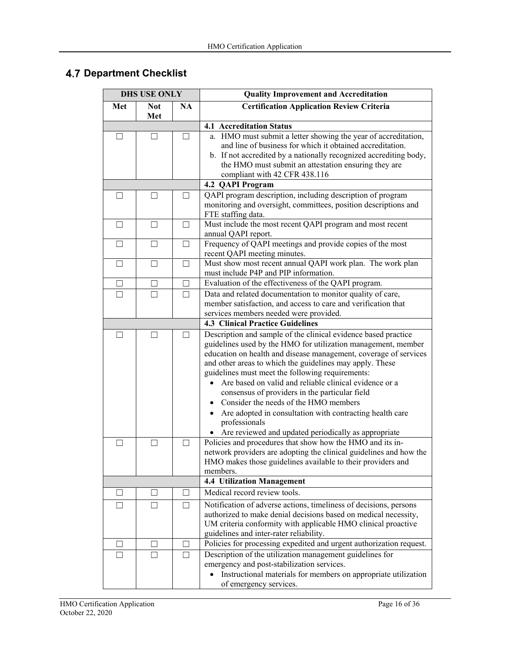|         | <b>DHS USE ONLY</b> |           | <b>Quality Improvement and Accreditation</b>                                                                                                                                                                                                                                                                                                                                                                                                                                                                                                                                                                  |  |  |
|---------|---------------------|-----------|---------------------------------------------------------------------------------------------------------------------------------------------------------------------------------------------------------------------------------------------------------------------------------------------------------------------------------------------------------------------------------------------------------------------------------------------------------------------------------------------------------------------------------------------------------------------------------------------------------------|--|--|
| Met     | <b>Not</b><br>Met   | <b>NA</b> | <b>Certification Application Review Criteria</b>                                                                                                                                                                                                                                                                                                                                                                                                                                                                                                                                                              |  |  |
|         |                     |           | <b>4.1 Accreditation Status</b>                                                                                                                                                                                                                                                                                                                                                                                                                                                                                                                                                                               |  |  |
| П       | П                   |           | a. HMO must submit a letter showing the year of accreditation,<br>and line of business for which it obtained accreditation.<br>b. If not accredited by a nationally recognized accrediting body,<br>the HMO must submit an attestation ensuring they are<br>compliant with 42 CFR 438.116                                                                                                                                                                                                                                                                                                                     |  |  |
|         |                     |           | 4.2 QAPI Program                                                                                                                                                                                                                                                                                                                                                                                                                                                                                                                                                                                              |  |  |
| $\Box$  | $\Box$              | $\Box$    | QAPI program description, including description of program<br>monitoring and oversight, committees, position descriptions and<br>FTE staffing data.                                                                                                                                                                                                                                                                                                                                                                                                                                                           |  |  |
| $\Box$  | $\Box$              | $\Box$    | Must include the most recent QAPI program and most recent<br>annual QAPI report.                                                                                                                                                                                                                                                                                                                                                                                                                                                                                                                              |  |  |
| $\Box$  | $\Box$              | $\Box$    | Frequency of QAPI meetings and provide copies of the most<br>recent QAPI meeting minutes.                                                                                                                                                                                                                                                                                                                                                                                                                                                                                                                     |  |  |
| $\Box$  | $\Box$              | $\Box$    | Must show most recent annual QAPI work plan. The work plan<br>must include P4P and PIP information.                                                                                                                                                                                                                                                                                                                                                                                                                                                                                                           |  |  |
| $\Box$  | $\Box$              | $\perp$   | Evaluation of the effectiveness of the QAPI program.                                                                                                                                                                                                                                                                                                                                                                                                                                                                                                                                                          |  |  |
| $\Box$  | П                   | $\Box$    | Data and related documentation to monitor quality of care,<br>member satisfaction, and access to care and verification that<br>services members needed were provided.                                                                                                                                                                                                                                                                                                                                                                                                                                         |  |  |
|         |                     |           | <b>4.3 Clinical Practice Guidelines</b>                                                                                                                                                                                                                                                                                                                                                                                                                                                                                                                                                                       |  |  |
| $\Box$  | $\blacksquare$      | $\Box$    | Description and sample of the clinical evidence based practice<br>guidelines used by the HMO for utilization management, member<br>education on health and disease management, coverage of services<br>and other areas to which the guidelines may apply. These<br>guidelines must meet the following requirements:<br>Are based on valid and reliable clinical evidence or a<br>consensus of providers in the particular field<br>Consider the needs of the HMO members<br>Are adopted in consultation with contracting health care<br>professionals<br>Are reviewed and updated periodically as appropriate |  |  |
| ⊔       | $\Box$              | $\Box$    | Policies and procedures that show how the HMO and its in-                                                                                                                                                                                                                                                                                                                                                                                                                                                                                                                                                     |  |  |
|         |                     |           | network providers are adopting the clinical guidelines and how the<br>HMO makes those guidelines available to their providers and<br>members.                                                                                                                                                                                                                                                                                                                                                                                                                                                                 |  |  |
|         |                     |           | <b>4.4 Utilization Management</b>                                                                                                                                                                                                                                                                                                                                                                                                                                                                                                                                                                             |  |  |
| $\Box$  | $\mathsf{L}$        | $\perp$   | Medical record review tools.                                                                                                                                                                                                                                                                                                                                                                                                                                                                                                                                                                                  |  |  |
| П       | П                   | П         | Notification of adverse actions, timeliness of decisions, persons<br>authorized to make denial decisions based on medical necessity,<br>UM criteria conformity with applicable HMO clinical proactive<br>guidelines and inter-rater reliability.                                                                                                                                                                                                                                                                                                                                                              |  |  |
| $\perp$ | $\Box$              | $\Box$    | Policies for processing expedited and urgent authorization request.                                                                                                                                                                                                                                                                                                                                                                                                                                                                                                                                           |  |  |
| П       | П                   | П         | Description of the utilization management guidelines for<br>emergency and post-stabilization services.<br>• Instructional materials for members on appropriate utilization<br>of emergency services.                                                                                                                                                                                                                                                                                                                                                                                                          |  |  |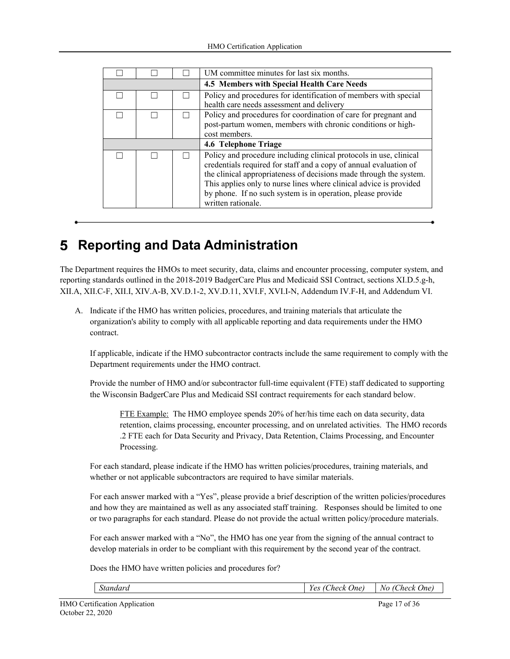|  |  |  | UM committee minutes for last six months.                                                                                                                                                                                                                                                                                                                                |  |
|--|--|--|--------------------------------------------------------------------------------------------------------------------------------------------------------------------------------------------------------------------------------------------------------------------------------------------------------------------------------------------------------------------------|--|
|  |  |  | 4.5 Members with Special Health Care Needs                                                                                                                                                                                                                                                                                                                               |  |
|  |  |  | Policy and procedures for identification of members with special<br>health care needs assessment and delivery                                                                                                                                                                                                                                                            |  |
|  |  |  | Policy and procedures for coordination of care for pregnant and<br>post-partum women, members with chronic conditions or high-<br>cost members.                                                                                                                                                                                                                          |  |
|  |  |  | 4.6 Telephone Triage                                                                                                                                                                                                                                                                                                                                                     |  |
|  |  |  | Policy and procedure including clinical protocols in use, clinical<br>credentials required for staff and a copy of annual evaluation of<br>the clinical appropriateness of decisions made through the system.<br>This applies only to nurse lines where clinical advice is provided<br>by phone. If no such system is in operation, please provide<br>written rationale. |  |

# **Reporting and Data Administration**

The Department requires the HMOs to meet security, data, claims and encounter processing, computer system, and reporting standards outlined in the 2018-2019 BadgerCare Plus and Medicaid SSI Contract, sections XI.D.5.g-h, XII.A, XII.C-F, XII.I, XIV.A-B, XV.D.1-2, XV.D.11, XVI.F, XVI.I-N, Addendum IV.F-H, and Addendum VI.

A. Indicate if the HMO has written policies, procedures, and training materials that articulate the organization's ability to comply with all applicable reporting and data requirements under the HMO contract.

If applicable, indicate if the HMO subcontractor contracts include the same requirement to comply with the Department requirements under the HMO contract.

Provide the number of HMO and/or subcontractor full-time equivalent (FTE) staff dedicated to supporting the Wisconsin BadgerCare Plus and Medicaid SSI contract requirements for each standard below.

FTE Example: The HMO employee spends 20% of her/his time each on data security, data retention, claims processing, encounter processing, and on unrelated activities. The HMO records .2 FTE each for Data Security and Privacy, Data Retention, Claims Processing, and Encounter Processing.

For each standard, please indicate if the HMO has written policies/procedures, training materials, and whether or not applicable subcontractors are required to have similar materials.

For each answer marked with a "Yes", please provide a brief description of the written policies/procedures and how they are maintained as well as any associated staff training. Responses should be limited to one or two paragraphs for each standard. Please do not provide the actual written policy/procedure materials.

For each answer marked with a "No", the HMO has one year from the signing of the annual contract to develop materials in order to be compliant with this requirement by the second year of the contract.

Does the HMO have written policies and procedures for?

|  |  | standard | $ -$<br>Jne'<br>.heck<br>$\alpha$<br>,,<br>si n<br>. UU | اسم ر<br>W.<br><i>Ino</i><br>'hork<br>$\mathbf{r}$<br>,,,,<br>- |
|--|--|----------|---------------------------------------------------------|-----------------------------------------------------------------|
|--|--|----------|---------------------------------------------------------|-----------------------------------------------------------------|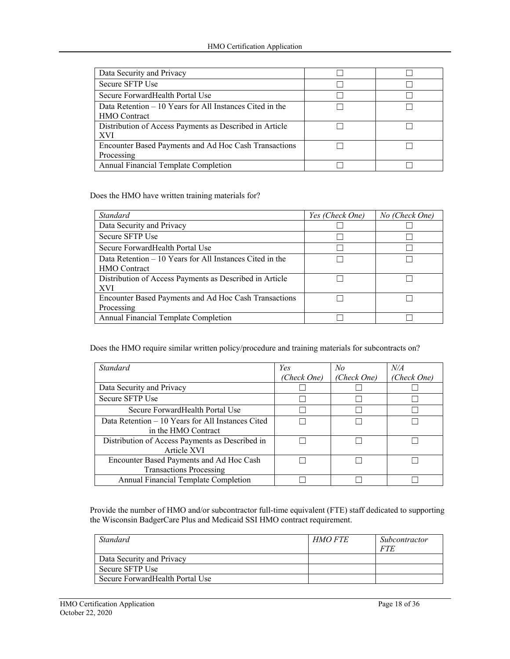| Data Security and Privacy                                 |  |
|-----------------------------------------------------------|--|
| Secure SFTP Use                                           |  |
| Secure Forward Health Portal Use                          |  |
| Data Retention $-10$ Years for All Instances Cited in the |  |
| <b>HMO</b> Contract                                       |  |
| Distribution of Access Payments as Described in Article   |  |
| <b>XVI</b>                                                |  |
| Encounter Based Payments and Ad Hoc Cash Transactions     |  |
| Processing                                                |  |
| Annual Financial Template Completion                      |  |

Does the HMO have written training materials for?

| <b>Standard</b>                                           | Yes (Check One) | No (Check One) |
|-----------------------------------------------------------|-----------------|----------------|
| Data Security and Privacy                                 |                 |                |
| Secure SFTP Use                                           |                 |                |
| Secure Forward Health Portal Use                          |                 |                |
| Data Retention $-10$ Years for All Instances Cited in the |                 |                |
| <b>HMO</b> Contract                                       |                 |                |
| Distribution of Access Payments as Described in Article   |                 |                |
| XVI                                                       |                 |                |
| Encounter Based Payments and Ad Hoc Cash Transactions     |                 |                |
| Processing                                                |                 |                |
| Annual Financial Template Completion                      |                 |                |

Does the HMO require similar written policy/procedure and training materials for subcontracts on?

| Standard                                          | Yes         | No          | N/A         |
|---------------------------------------------------|-------------|-------------|-------------|
|                                                   | (Check One) | (Check One) | (Check One) |
| Data Security and Privacy                         |             |             |             |
| Secure SFTP Use                                   |             |             |             |
| Secure Forward Health Portal Use                  |             |             |             |
| Data Retention – 10 Years for All Instances Cited |             |             |             |
| in the HMO Contract                               |             |             |             |
| Distribution of Access Payments as Described in   |             |             |             |
| Article XVI                                       |             |             |             |
| Encounter Based Payments and Ad Hoc Cash          |             |             |             |
| <b>Transactions Processing</b>                    |             |             |             |
| Annual Financial Template Completion              |             |             |             |

Provide the number of HMO and/or subcontractor full-time equivalent (FTE) staff dedicated to supporting the Wisconsin BadgerCare Plus and Medicaid SSI HMO contract requirement.

| Standard                         | <b>HMO FTE</b> | Subcontractor |
|----------------------------------|----------------|---------------|
|                                  |                |               |
|                                  |                |               |
| Data Security and Privacy        |                |               |
| Secure SFTP Use                  |                |               |
| Secure Forward Health Portal Use |                |               |
|                                  |                |               |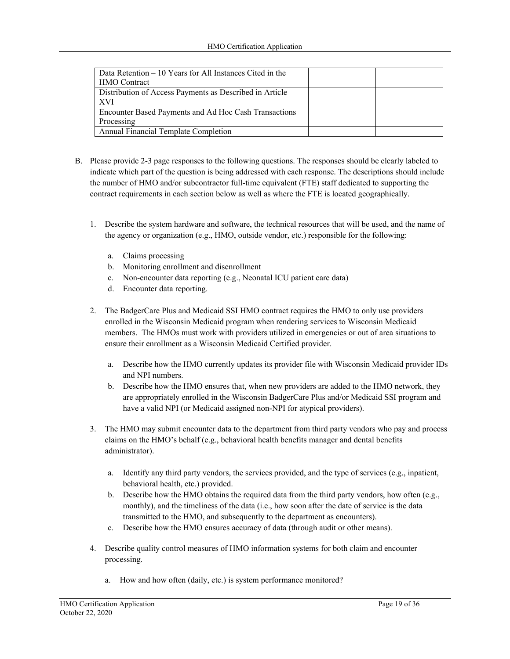| Data Retention $-10$ Years for All Instances Cited in the |  |
|-----------------------------------------------------------|--|
| <b>HMO</b> Contract                                       |  |
| Distribution of Access Payments as Described in Article   |  |
| XVI                                                       |  |
| Encounter Based Payments and Ad Hoc Cash Transactions     |  |
| Processing                                                |  |
| <b>Annual Financial Template Completion</b>               |  |

- B. Please provide 2-3 page responses to the following questions. The responses should be clearly labeled to indicate which part of the question is being addressed with each response. The descriptions should include the number of HMO and/or subcontractor full-time equivalent (FTE) staff dedicated to supporting the contract requirements in each section below as well as where the FTE is located geographically.
	- 1. Describe the system hardware and software, the technical resources that will be used, and the name of the agency or organization (e.g., HMO, outside vendor, etc.) responsible for the following:
		- a. Claims processing
		- b. Monitoring enrollment and disenrollment
		- c. Non-encounter data reporting (e.g., Neonatal ICU patient care data)
		- d. Encounter data reporting.
	- 2. The BadgerCare Plus and Medicaid SSI HMO contract requires the HMO to only use providers enrolled in the Wisconsin Medicaid program when rendering services to Wisconsin Medicaid members. The HMOs must work with providers utilized in emergencies or out of area situations to ensure their enrollment as a Wisconsin Medicaid Certified provider.
		- a. Describe how the HMO currently updates its provider file with Wisconsin Medicaid provider IDs and NPI numbers.
		- b. Describe how the HMO ensures that, when new providers are added to the HMO network, they are appropriately enrolled in the Wisconsin BadgerCare Plus and/or Medicaid SSI program and have a valid NPI (or Medicaid assigned non-NPI for atypical providers).
	- 3. The HMO may submit encounter data to the department from third party vendors who pay and process claims on the HMO's behalf (e.g., behavioral health benefits manager and dental benefits administrator).
		- a. Identify any third party vendors, the services provided, and the type of services (e.g., inpatient, behavioral health, etc.) provided.
		- b. Describe how the HMO obtains the required data from the third party vendors, how often (e.g., monthly), and the timeliness of the data (i.e., how soon after the date of service is the data transmitted to the HMO, and subsequently to the department as encounters).
		- c. Describe how the HMO ensures accuracy of data (through audit or other means).
	- 4. Describe quality control measures of HMO information systems for both claim and encounter processing.
		- a. How and how often (daily, etc.) is system performance monitored?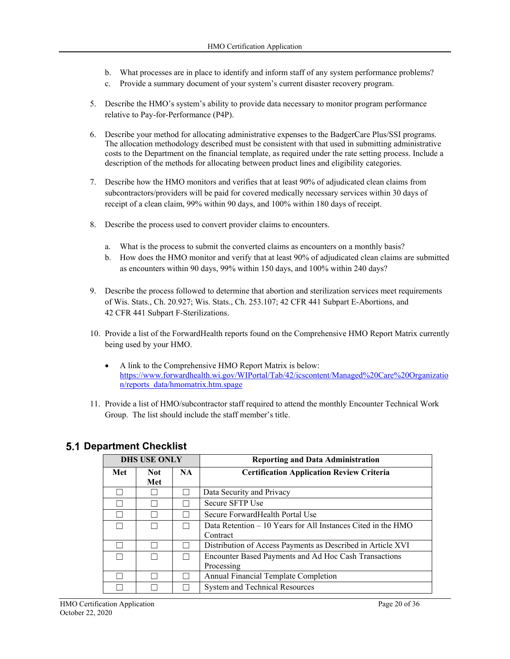- b. What processes are in place to identify and inform staff of any system performance problems?
- c. Provide a summary document of your system's current disaster recovery program.
- 5. Describe the HMO's system's ability to provide data necessary to monitor program performance relative to Pay-for-Performance (P4P).
- 6. Describe your method for allocating administrative expenses to the BadgerCare Plus/SSI programs. The allocation methodology described must be consistent with that used in submitting administrative costs to the Department on the financial template, as required under the rate setting process. Include a description of the methods for allocating between product lines and eligibility categories.
- 7. Describe how the HMO monitors and verifies that at least 90% of adjudicated clean claims from subcontractors/providers will be paid for covered medically necessary services within 30 days of receipt of a clean claim, 99% within 90 days, and 100% within 180 days of receipt.
- 8. Describe the process used to convert provider claims to encounters.
	- a. What is the process to submit the converted claims as encounters on a monthly basis?
	- b. How does the HMO monitor and verify that at least 90% of adjudicated clean claims are submitted as encounters within 90 days, 99% within 150 days, and 100% within 240 days?
- 9. Describe the process followed to determine that abortion and sterilization services meet requirements of Wis. Stats., Ch. 20.927; Wis. Stats., Ch. 253.107; 42 CFR 441 Subpart E-Abortions, and 42 CFR 441 Subpart F-Sterilizations.
- 10. Provide a list of the ForwardHealth reports found on the Comprehensive HMO Report Matrix currently being used by your HMO.
	- A link to the Comprehensive HMO Report Matrix is below: https://www.forwardhealth.wi.gov/WIPortal/Tab/42/icscontent/Managed%20Care%20Organizatio n/reports\_data/hmomatrix.htm.spage
- 11. Provide a list of HMO/subcontractor staff required to attend the monthly Encounter Technical Work Group. The list should include the staff member's title.

|        | <b>DHS USE ONLY</b> |     | <b>Reporting and Data Administration</b>                     |
|--------|---------------------|-----|--------------------------------------------------------------|
| Met    | <b>Not</b>          | NA. | <b>Certification Application Review Criteria</b>             |
|        | Met                 |     |                                                              |
|        |                     |     | Data Security and Privacy                                    |
|        |                     |     | Secure SFTP Use                                              |
|        |                     |     | Secure Forward Health Portal Use                             |
| $\Box$ |                     |     | Data Retention – 10 Years for All Instances Cited in the HMO |
|        |                     |     | Contract                                                     |
|        |                     |     | Distribution of Access Payments as Described in Article XVI  |
|        |                     |     | Encounter Based Payments and Ad Hoc Cash Transactions        |
|        |                     |     | Processing                                                   |
|        |                     |     | Annual Financial Template Completion                         |
|        |                     |     | System and Technical Resources                               |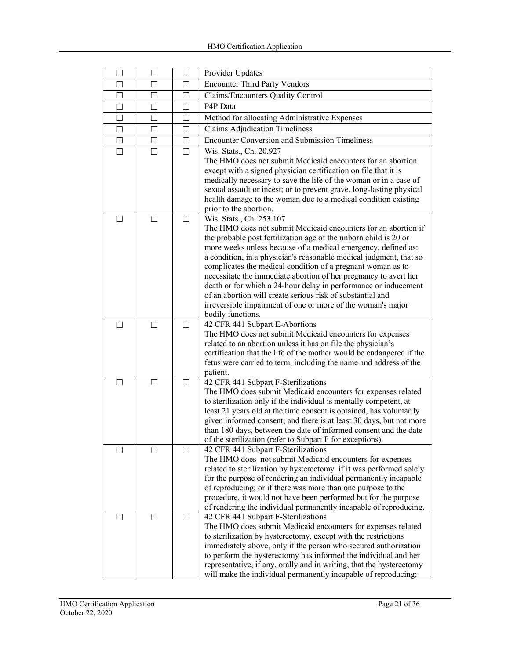| □            |                   |              | Provider Updates                                                                                                               |
|--------------|-------------------|--------------|--------------------------------------------------------------------------------------------------------------------------------|
| П            | $\Box$            | П            | <b>Encounter Third Party Vendors</b>                                                                                           |
| П            | $\Box$            | П            | Claims/Encounters Quality Control                                                                                              |
| $\Box$       | - 1               | $\mathbf{I}$ | P4P Data                                                                                                                       |
| П            | $\Box$            | П            | Method for allocating Administrative Expenses                                                                                  |
| П            | П                 | П            | <b>Claims Adjudication Timeliness</b>                                                                                          |
| $\Box$       | П                 | П            | <b>Encounter Conversion and Submission Timeliness</b>                                                                          |
| $\perp$      | $\blacksquare$    |              | Wis. Stats., Ch. 20.927                                                                                                        |
|              |                   |              | The HMO does not submit Medicaid encounters for an abortion                                                                    |
|              |                   |              | except with a signed physician certification on file that it is                                                                |
|              |                   |              | medically necessary to save the life of the woman or in a case of                                                              |
|              |                   |              | sexual assault or incest; or to prevent grave, long-lasting physical                                                           |
|              |                   |              | health damage to the woman due to a medical condition existing                                                                 |
| П            | П                 | П            | prior to the abortion.<br>Wis. Stats., Ch. 253.107                                                                             |
|              |                   |              | The HMO does not submit Medicaid encounters for an abortion if                                                                 |
|              |                   |              | the probable post fertilization age of the unborn child is 20 or                                                               |
|              |                   |              | more weeks unless because of a medical emergency, defined as:                                                                  |
|              |                   |              | a condition, in a physician's reasonable medical judgment, that so                                                             |
|              |                   |              | complicates the medical condition of a pregnant woman as to                                                                    |
|              |                   |              | necessitate the immediate abortion of her pregnancy to avert her                                                               |
|              |                   |              | death or for which a 24-hour delay in performance or inducement<br>of an abortion will create serious risk of substantial and  |
|              |                   |              | irreversible impairment of one or more of the woman's major                                                                    |
|              |                   |              | bodily functions.                                                                                                              |
| П            | $\vert \ \ \vert$ | П            | 42 CFR 441 Subpart E-Abortions                                                                                                 |
|              |                   |              | The HMO does not submit Medicaid encounters for expenses                                                                       |
|              |                   |              | related to an abortion unless it has on file the physician's                                                                   |
|              |                   |              | certification that the life of the mother would be endangered if the                                                           |
|              |                   |              | fetus were carried to term, including the name and address of the<br>patient.                                                  |
| $\perp$      | $\perp$           | П            | 42 CFR 441 Subpart F-Sterilizations                                                                                            |
|              |                   |              | The HMO does submit Medicaid encounters for expenses related                                                                   |
|              |                   |              | to sterilization only if the individual is mentally competent, at                                                              |
|              |                   |              | least 21 years old at the time consent is obtained, has voluntarily                                                            |
|              |                   |              | given informed consent; and there is at least 30 days, but not more                                                            |
|              |                   |              | than 180 days, between the date of informed consent and the date                                                               |
|              |                   |              | of the sterilization (refer to Subpart F for exceptions).                                                                      |
|              |                   |              | 42 CFR 441 Subpart F-Sterilizations<br>The HMO does not submit Medicaid encounters for expenses                                |
|              |                   |              | related to sterilization by hysterectomy if it was performed solely                                                            |
|              |                   |              | for the purpose of rendering an individual permanently incapable                                                               |
|              |                   |              | of reproducing; or if there was more than one purpose to the                                                                   |
|              |                   |              | procedure, it would not have been performed but for the purpose                                                                |
|              |                   |              | of rendering the individual permanently incapable of reproducing.                                                              |
| $\mathsf{L}$ | $\Box$            | $\perp$      | 42 CFR 441 Subpart F-Sterilizations                                                                                            |
|              |                   |              | The HMO does submit Medicaid encounters for expenses related<br>to sterilization by hysterectomy, except with the restrictions |
|              |                   |              | immediately above, only if the person who secured authorization                                                                |
|              |                   |              | to perform the hysterectomy has informed the individual and her                                                                |
|              |                   |              | representative, if any, orally and in writing, that the hysterectomy                                                           |
|              |                   |              | will make the individual permanently incapable of reproducing;                                                                 |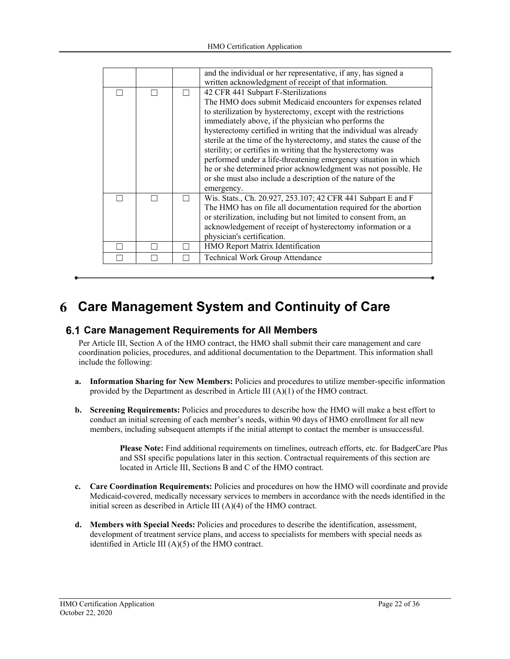|  | and the individual or her representative, if any, has signed a<br>written acknowledgment of receipt of that information.                                                                                                                                                                                                                                                                                                                                                                                                                                                                                                                                     |
|--|--------------------------------------------------------------------------------------------------------------------------------------------------------------------------------------------------------------------------------------------------------------------------------------------------------------------------------------------------------------------------------------------------------------------------------------------------------------------------------------------------------------------------------------------------------------------------------------------------------------------------------------------------------------|
|  | 42 CFR 441 Subpart F-Sterilizations<br>The HMO does submit Medicaid encounters for expenses related<br>to sterilization by hysterectomy, except with the restrictions<br>immediately above, if the physician who performs the<br>hysterectomy certified in writing that the individual was already<br>sterile at the time of the hysterectomy, and states the cause of the<br>sterility; or certifies in writing that the hysterectomy was<br>performed under a life-threatening emergency situation in which<br>he or she determined prior acknowledgment was not possible. He<br>or she must also include a description of the nature of the<br>emergency. |
|  | Wis. Stats., Ch. 20.927, 253.107; 42 CFR 441 Subpart E and F<br>The HMO has on file all documentation required for the abortion<br>or sterilization, including but not limited to consent from, an<br>acknowledgement of receipt of hysterectomy information or a<br>physician's certification.                                                                                                                                                                                                                                                                                                                                                              |
|  | HMO Report Matrix Identification                                                                                                                                                                                                                                                                                                                                                                                                                                                                                                                                                                                                                             |
|  | Technical Work Group Attendance                                                                                                                                                                                                                                                                                                                                                                                                                                                                                                                                                                                                                              |

# **Care Management System and Continuity of Care**

#### **Care Management Requirements for All Members**

Per Article III, Section A of the HMO contract, the HMO shall submit their care management and care coordination policies, procedures, and additional documentation to the Department. This information shall include the following:

- **a. Information Sharing for New Members:** Policies and procedures to utilize member-specific information provided by the Department as described in Article III  $(A)(1)$  of the HMO contract.
- **b. Screening Requirements:** Policies and procedures to describe how the HMO will make a best effort to conduct an initial screening of each member's needs, within 90 days of HMO enrollment for all new members, including subsequent attempts if the initial attempt to contact the member is unsuccessful.

**Please Note:** Find additional requirements on timelines, outreach efforts, etc. for BadgerCare Plus and SSI specific populations later in this section. Contractual requirements of this section are located in Article III, Sections B and C of the HMO contract.

- **c. Care Coordination Requirements:** Policies and procedures on how the HMO will coordinate and provide Medicaid-covered, medically necessary services to members in accordance with the needs identified in the initial screen as described in Article III (A)(4) of the HMO contract.
- **d. Members with Special Needs:** Policies and procedures to describe the identification, assessment, development of treatment service plans, and access to specialists for members with special needs as identified in Article III (A)(5) of the HMO contract.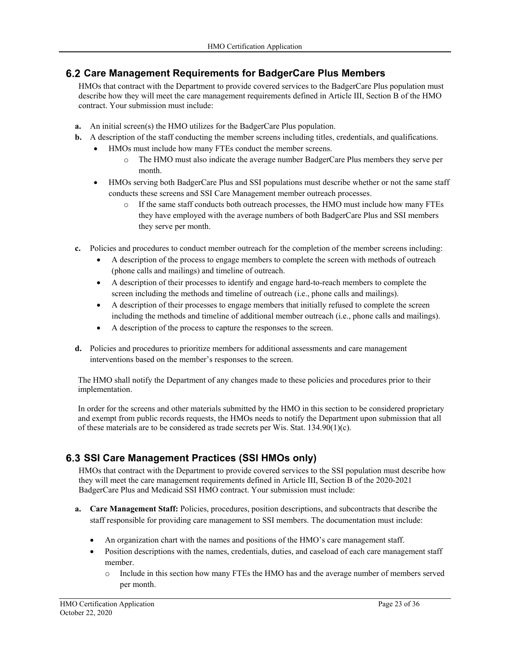## **Care Management Requirements for BadgerCare Plus Members**

HMOs that contract with the Department to provide covered services to the BadgerCare Plus population must describe how they will meet the care management requirements defined in Article III, Section B of the HMO contract. Your submission must include:

- **a.** An initial screen(s) the HMO utilizes for the BadgerCare Plus population.
- **b.** A description of the staff conducting the member screens including titles, credentials, and qualifications.
	- HMOs must include how many FTEs conduct the member screens.
		- o The HMO must also indicate the average number BadgerCare Plus members they serve per month.
	- HMOs serving both BadgerCare Plus and SSI populations must describe whether or not the same staff conducts these screens and SSI Care Management member outreach processes.
		- o If the same staff conducts both outreach processes, the HMO must include how many FTEs they have employed with the average numbers of both BadgerCare Plus and SSI members they serve per month.
- **c.** Policies and procedures to conduct member outreach for the completion of the member screens including:
	- A description of the process to engage members to complete the screen with methods of outreach (phone calls and mailings) and timeline of outreach.
		- A description of their processes to identify and engage hard-to-reach members to complete the screen including the methods and timeline of outreach (i.e., phone calls and mailings).
		- A description of their processes to engage members that initially refused to complete the screen including the methods and timeline of additional member outreach (i.e., phone calls and mailings).
		- A description of the process to capture the responses to the screen.
- **d.** Policies and procedures to prioritize members for additional assessments and care management interventions based on the member's responses to the screen.

The HMO shall notify the Department of any changes made to these policies and procedures prior to their implementation.

In order for the screens and other materials submitted by the HMO in this section to be considered proprietary and exempt from public records requests, the HMOs needs to notify the Department upon submission that all of these materials are to be considered as trade secrets per Wis. Stat. 134.90(1)(c).

# **SSI Care Management Practices (SSI HMOs only)**

HMOs that contract with the Department to provide covered services to the SSI population must describe how they will meet the care management requirements defined in Article III, Section B of the 2020-2021 BadgerCare Plus and Medicaid SSI HMO contract. Your submission must include:

- **a. Care Management Staff:** Policies, procedures, position descriptions, and subcontracts that describe the staff responsible for providing care management to SSI members. The documentation must include:
	- An organization chart with the names and positions of the HMO's care management staff.
	- Position descriptions with the names, credentials, duties, and caseload of each care management staff member.
		- o Include in this section how many FTEs the HMO has and the average number of members served per month.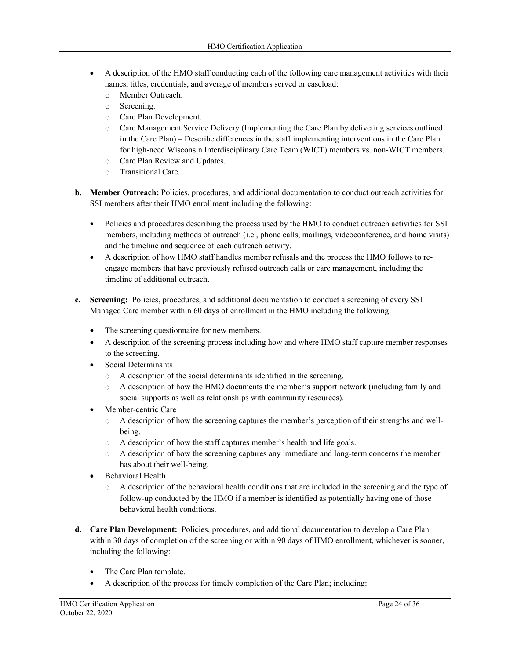- A description of the HMO staff conducting each of the following care management activities with their names, titles, credentials, and average of members served or caseload:
	- o Member Outreach.
	- o Screening.
	- o Care Plan Development.
	- o Care Management Service Delivery (Implementing the Care Plan by delivering services outlined in the Care Plan) – Describe differences in the staff implementing interventions in the Care Plan for high-need Wisconsin Interdisciplinary Care Team (WICT) members vs. non-WICT members.
	- o Care Plan Review and Updates.
	- o Transitional Care.
- **b. Member Outreach:** Policies, procedures, and additional documentation to conduct outreach activities for SSI members after their HMO enrollment including the following:
	- Policies and procedures describing the process used by the HMO to conduct outreach activities for SSI members, including methods of outreach (i.e., phone calls, mailings, videoconference, and home visits) and the timeline and sequence of each outreach activity.
	- A description of how HMO staff handles member refusals and the process the HMO follows to reengage members that have previously refused outreach calls or care management, including the timeline of additional outreach.
- **c. Screening:** Policies, procedures, and additional documentation to conduct a screening of every SSI Managed Care member within 60 days of enrollment in the HMO including the following:
	- The screening questionnaire for new members.
	- A description of the screening process including how and where HMO staff capture member responses to the screening.
	- Social Determinants
		- o A description of the social determinants identified in the screening.
		- o A description of how the HMO documents the member's support network (including family and social supports as well as relationships with community resources).
	- Member-centric Care
		- o A description of how the screening captures the member's perception of their strengths and wellbeing.
		- o A description of how the staff captures member's health and life goals.
		- o A description of how the screening captures any immediate and long-term concerns the member has about their well-being.
	- Behavioral Health
		- o A description of the behavioral health conditions that are included in the screening and the type of follow-up conducted by the HMO if a member is identified as potentially having one of those behavioral health conditions.
- **d. Care Plan Development:** Policies, procedures, and additional documentation to develop a Care Plan within 30 days of completion of the screening or within 90 days of HMO enrollment, whichever is sooner, including the following:
	- The Care Plan template.
	- A description of the process for timely completion of the Care Plan; including: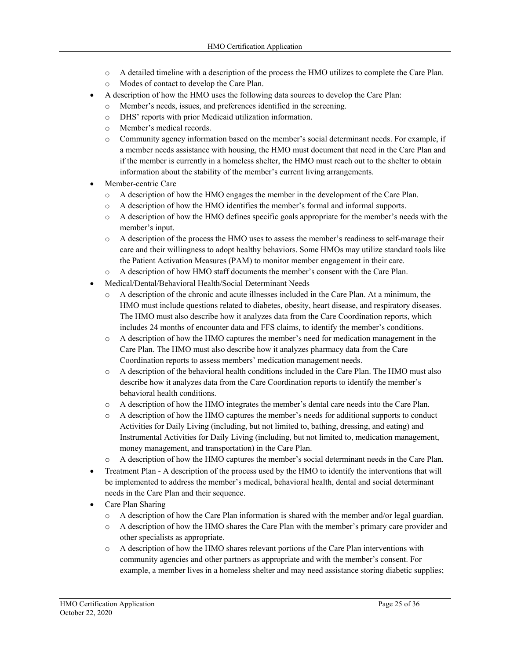- o A detailed timeline with a description of the process the HMO utilizes to complete the Care Plan.
- o Modes of contact to develop the Care Plan.
- A description of how the HMO uses the following data sources to develop the Care Plan:
	- o Member's needs, issues, and preferences identified in the screening.
		- o DHS' reports with prior Medicaid utilization information.
		- o Member's medical records.
		- o Community agency information based on the member's social determinant needs. For example, if a member needs assistance with housing, the HMO must document that need in the Care Plan and if the member is currently in a homeless shelter, the HMO must reach out to the shelter to obtain information about the stability of the member's current living arrangements.
- Member-centric Care
	- o A description of how the HMO engages the member in the development of the Care Plan.
	- o A description of how the HMO identifies the member's formal and informal supports.
	- o A description of how the HMO defines specific goals appropriate for the member's needs with the member's input.
	- o A description of the process the HMO uses to assess the member's readiness to self-manage their care and their willingness to adopt healthy behaviors. Some HMOs may utilize standard tools like the Patient Activation Measures (PAM) to monitor member engagement in their care.
	- o A description of how HMO staff documents the member's consent with the Care Plan.
- Medical/Dental/Behavioral Health/Social Determinant Needs
	- o A description of the chronic and acute illnesses included in the Care Plan. At a minimum, the HMO must include questions related to diabetes, obesity, heart disease, and respiratory diseases. The HMO must also describe how it analyzes data from the Care Coordination reports, which includes 24 months of encounter data and FFS claims, to identify the member's conditions.
	- o A description of how the HMO captures the member's need for medication management in the Care Plan. The HMO must also describe how it analyzes pharmacy data from the Care Coordination reports to assess members' medication management needs.
	- o A description of the behavioral health conditions included in the Care Plan. The HMO must also describe how it analyzes data from the Care Coordination reports to identify the member's behavioral health conditions.
	- o A description of how the HMO integrates the member's dental care needs into the Care Plan.
	- o A description of how the HMO captures the member's needs for additional supports to conduct Activities for Daily Living (including, but not limited to, bathing, dressing, and eating) and Instrumental Activities for Daily Living (including, but not limited to, medication management, money management, and transportation) in the Care Plan.
	- o A description of how the HMO captures the member's social determinant needs in the Care Plan.
- Treatment Plan A description of the process used by the HMO to identify the interventions that will be implemented to address the member's medical, behavioral health, dental and social determinant needs in the Care Plan and their sequence.
- Care Plan Sharing
	- o A description of how the Care Plan information is shared with the member and/or legal guardian.
	- o A description of how the HMO shares the Care Plan with the member's primary care provider and other specialists as appropriate.
	- o A description of how the HMO shares relevant portions of the Care Plan interventions with community agencies and other partners as appropriate and with the member's consent. For example, a member lives in a homeless shelter and may need assistance storing diabetic supplies;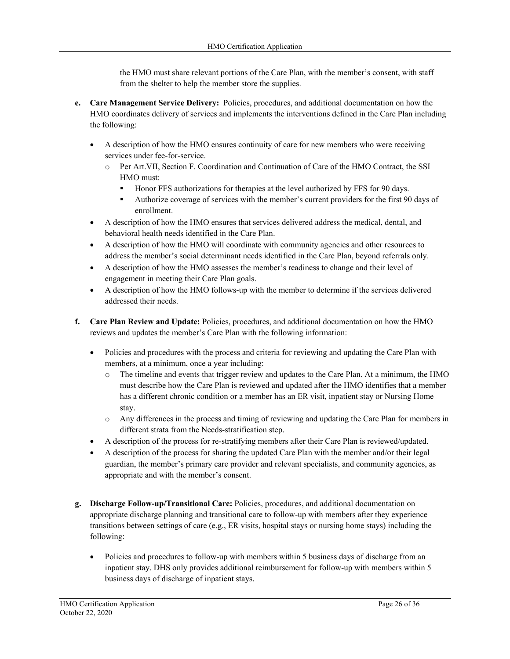the HMO must share relevant portions of the Care Plan, with the member's consent, with staff from the shelter to help the member store the supplies.

- **e. Care Management Service Delivery:** Policies, procedures, and additional documentation on how the HMO coordinates delivery of services and implements the interventions defined in the Care Plan including the following:
	- A description of how the HMO ensures continuity of care for new members who were receiving services under fee-for-service.
		- o Per Art.VII, Section F. Coordination and Continuation of Care of the HMO Contract, the SSI HMO must:
			- Honor FFS authorizations for therapies at the level authorized by FFS for 90 days.
			- Authorize coverage of services with the member's current providers for the first 90 days of enrollment.
	- A description of how the HMO ensures that services delivered address the medical, dental, and behavioral health needs identified in the Care Plan.
	- A description of how the HMO will coordinate with community agencies and other resources to address the member's social determinant needs identified in the Care Plan, beyond referrals only.
	- A description of how the HMO assesses the member's readiness to change and their level of engagement in meeting their Care Plan goals.
	- A description of how the HMO follows-up with the member to determine if the services delivered addressed their needs.
- **f. Care Plan Review and Update:** Policies, procedures, and additional documentation on how the HMO reviews and updates the member's Care Plan with the following information:
	- Policies and procedures with the process and criteria for reviewing and updating the Care Plan with members, at a minimum, once a year including:
		- o The timeline and events that trigger review and updates to the Care Plan. At a minimum, the HMO must describe how the Care Plan is reviewed and updated after the HMO identifies that a member has a different chronic condition or a member has an ER visit, inpatient stay or Nursing Home stay.
		- o Any differences in the process and timing of reviewing and updating the Care Plan for members in different strata from the Needs-stratification step.
	- A description of the process for re-stratifying members after their Care Plan is reviewed/updated.
	- A description of the process for sharing the updated Care Plan with the member and/or their legal guardian, the member's primary care provider and relevant specialists, and community agencies, as appropriate and with the member's consent.
- **g. Discharge Follow-up/Transitional Care:** Policies, procedures, and additional documentation on appropriate discharge planning and transitional care to follow-up with members after they experience transitions between settings of care (e.g., ER visits, hospital stays or nursing home stays) including the following:
	- Policies and procedures to follow-up with members within 5 business days of discharge from an inpatient stay. DHS only provides additional reimbursement for follow-up with members within 5 business days of discharge of inpatient stays.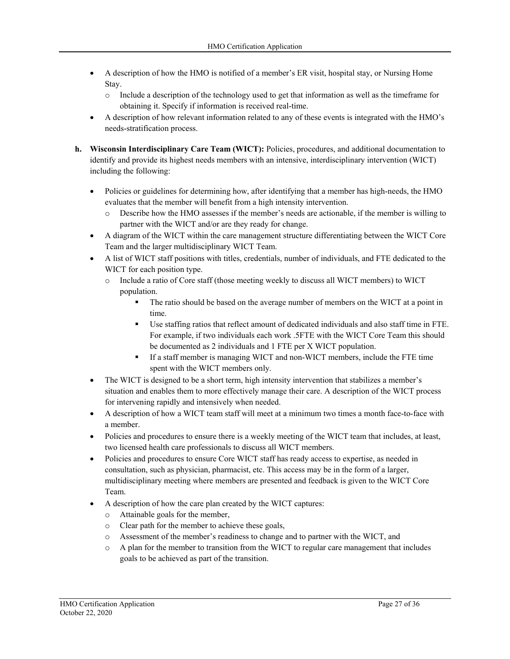- A description of how the HMO is notified of a member's ER visit, hospital stay, or Nursing Home Stay.
	- o Include a description of the technology used to get that information as well as the timeframe for obtaining it. Specify if information is received real-time.
- A description of how relevant information related to any of these events is integrated with the HMO's needs-stratification process.
- **h. Wisconsin Interdisciplinary Care Team (WICT):** Policies, procedures, and additional documentation to identify and provide its highest needs members with an intensive, interdisciplinary intervention (WICT) including the following:
	- Policies or guidelines for determining how, after identifying that a member has high-needs, the HMO evaluates that the member will benefit from a high intensity intervention.
		- o Describe how the HMO assesses if the member's needs are actionable, if the member is willing to partner with the WICT and/or are they ready for change.
	- A diagram of the WICT within the care management structure differentiating between the WICT Core Team and the larger multidisciplinary WICT Team.
	- A list of WICT staff positions with titles, credentials, number of individuals, and FTE dedicated to the WICT for each position type.
		- o Include a ratio of Core staff (those meeting weekly to discuss all WICT members) to WICT population.
			- The ratio should be based on the average number of members on the WICT at a point in time.
			- Use staffing ratios that reflect amount of dedicated individuals and also staff time in FTE. For example, if two individuals each work .5FTE with the WICT Core Team this should be documented as 2 individuals and 1 FTE per X WICT population.
			- If a staff member is managing WICT and non-WICT members, include the FTE time spent with the WICT members only.
	- The WICT is designed to be a short term, high intensity intervention that stabilizes a member's situation and enables them to more effectively manage their care. A description of the WICT process for intervening rapidly and intensively when needed.
	- A description of how a WICT team staff will meet at a minimum two times a month face-to-face with a member.
	- Policies and procedures to ensure there is a weekly meeting of the WICT team that includes, at least, two licensed health care professionals to discuss all WICT members.
	- Policies and procedures to ensure Core WICT staff has ready access to expertise, as needed in consultation, such as physician, pharmacist, etc. This access may be in the form of a larger, multidisciplinary meeting where members are presented and feedback is given to the WICT Core Team.
	- A description of how the care plan created by the WICT captures:
		- o Attainable goals for the member,
		- o Clear path for the member to achieve these goals,
		- o Assessment of the member's readiness to change and to partner with the WICT, and
		- o A plan for the member to transition from the WICT to regular care management that includes goals to be achieved as part of the transition.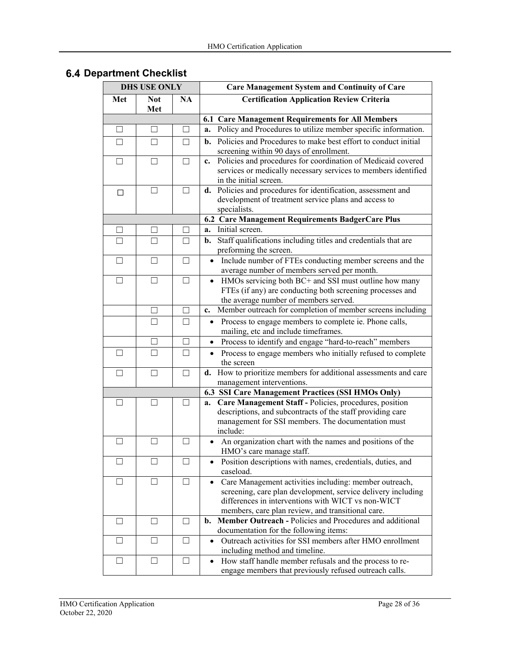| <b>DHS USE ONLY</b> |                   |           | <b>Care Management System and Continuity of Care</b>                                                                                                                                                                                           |
|---------------------|-------------------|-----------|------------------------------------------------------------------------------------------------------------------------------------------------------------------------------------------------------------------------------------------------|
| Met                 | <b>Not</b><br>Met | <b>NA</b> | <b>Certification Application Review Criteria</b>                                                                                                                                                                                               |
|                     |                   |           | 6.1 Care Management Requirements for All Members                                                                                                                                                                                               |
| □                   | $\Box$            | $\Box$    | Policy and Procedures to utilize member specific information.<br>a.                                                                                                                                                                            |
| $\Box$              | П                 | $\Box$    | <b>b.</b> Policies and Procedures to make best effort to conduct initial<br>screening within 90 days of enrollment.                                                                                                                            |
| П                   | П                 | $\Box$    | Policies and procedures for coordination of Medicaid covered<br>c.<br>services or medically necessary services to members identified<br>in the initial screen.                                                                                 |
| □                   | $\Box$            | $\Box$    | d. Policies and procedures for identification, assessment and<br>development of treatment service plans and access to<br>specialists.                                                                                                          |
|                     |                   |           | 6.2 Care Management Requirements BadgerCare Plus                                                                                                                                                                                               |
|                     | $\Box$            | $\Box$    | Initial screen.<br>a.                                                                                                                                                                                                                          |
|                     | $\perp$           | П         | Staff qualifications including titles and credentials that are<br>b.<br>preforming the screen.                                                                                                                                                 |
| $\Box$              | $\Box$            | $\Box$    | Include number of FTEs conducting member screens and the<br>$\bullet$<br>average number of members served per month.                                                                                                                           |
| $\Box$              | П                 | $\Box$    | HMOs servicing both BC+ and SSI must outline how many<br>$\bullet$<br>FTEs (if any) are conducting both screening processes and<br>the average number of members served.                                                                       |
|                     | П                 | $\Box$    | Member outreach for completion of member screens including<br>c.                                                                                                                                                                               |
|                     | П                 | П         | Process to engage members to complete ie. Phone calls,<br>$\bullet$<br>mailing, etc and include timeframes.                                                                                                                                    |
|                     | П                 | П         | Process to identify and engage "hard-to-reach" members<br>$\bullet$                                                                                                                                                                            |
| $\mathsf{L}$        | П                 | П         | Process to engage members who initially refused to complete<br>$\bullet$<br>the screen                                                                                                                                                         |
|                     | П                 | П         | d. How to prioritize members for additional assessments and care<br>management interventions.                                                                                                                                                  |
|                     |                   |           | 6.3 SSI Care Management Practices (SSI HMOs Only)                                                                                                                                                                                              |
| $\mathsf{L}$        | $\Box$            | П         | a. Care Management Staff - Policies, procedures, position<br>descriptions, and subcontracts of the staff providing care<br>management for SSI members. The documentation must<br>include:                                                      |
| $\mathsf{L}$        | $\vert \ \ \vert$ | $\Box$    | An organization chart with the names and positions of the<br>HMO's care manage staff.                                                                                                                                                          |
| $\mathsf{L}$        | П                 | П         | Position descriptions with names, credentials, duties, and<br>$\bullet$<br>caseload.                                                                                                                                                           |
| $\Box$              | П                 | П         | Care Management activities including: member outreach,<br>$\bullet$<br>screening, care plan development, service delivery including<br>differences in interventions with WICT vs non-WICT<br>members, care plan review, and transitional care. |
| $\perp$             | $\Box$            | $\Box$    | Member Outreach - Policies and Procedures and additional<br>b.<br>documentation for the following items:                                                                                                                                       |
| $\perp$             | $\Box$            | $\Box$    | Outreach activities for SSI members after HMO enrollment<br>$\bullet$<br>including method and timeline.                                                                                                                                        |
| $\Box$              | $\Box$            | П         | How staff handle member refusals and the process to re-<br>$\bullet$<br>engage members that previously refused outreach calls.                                                                                                                 |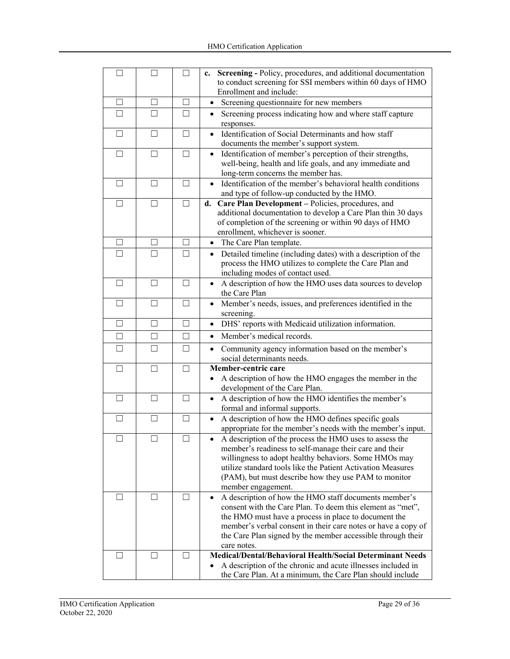| $\Box$  | П      | $\Box$ | c. Screening - Policy, procedures, and additional documentation                             |
|---------|--------|--------|---------------------------------------------------------------------------------------------|
|         |        |        | to conduct screening for SSI members within 60 days of HMO                                  |
|         |        |        | Enrollment and include:                                                                     |
| П       | $\Box$ | П      | Screening questionnaire for new members<br>$\bullet$                                        |
| П       | П      | П      | Screening process indicating how and where staff capture<br>$\bullet$                       |
|         |        |        | responses.                                                                                  |
| $\Box$  | П      | П      | Identification of Social Determinants and how staff<br>$\bullet$                            |
|         |        |        | documents the member's support system.                                                      |
| П       | П      | П      | Identification of member's perception of their strengths,<br>$\bullet$                      |
|         |        |        | well-being, health and life goals, and any immediate and                                    |
|         |        |        | long-term concerns the member has.                                                          |
| П       | П      | $\Box$ | Identification of the member's behavioral health conditions<br>$\bullet$                    |
|         |        |        | and type of follow-up conducted by the HMO.                                                 |
| П       | П      | П      | d. Care Plan Development - Policies, procedures, and                                        |
|         |        |        | additional documentation to develop a Care Plan thin 30 days                                |
|         |        |        |                                                                                             |
|         |        |        | of completion of the screening or within 90 days of HMO<br>enrollment, whichever is sooner. |
|         |        |        |                                                                                             |
| $\Box$  | $\Box$ | П      | • The Care Plan template.                                                                   |
| П       | П      | П      | Detailed timeline (including dates) with a description of the<br>$\bullet$                  |
|         |        |        | process the HMO utilizes to complete the Care Plan and                                      |
|         |        |        | including modes of contact used.                                                            |
| П       | П      | П      | A description of how the HMO uses data sources to develop<br>$\bullet$                      |
|         |        |        | the Care Plan                                                                               |
| □       | П      | П      | Member's needs, issues, and preferences identified in the<br>$\bullet$                      |
|         |        |        | screening.                                                                                  |
| $\Box$  | $\Box$ | П      | DHS' reports with Medicaid utilization information.<br>$\bullet$                            |
| □       | $\Box$ | П      | Member's medical records.<br>$\bullet$                                                      |
| П       | П      | П      | Community agency information based on the member's<br>$\bullet$                             |
|         |        |        | social determinants needs.                                                                  |
| П       | П      | П      | Member-centric care                                                                         |
|         |        |        | A description of how the HMO engages the member in the                                      |
|         |        |        | development of the Care Plan.                                                               |
| □       | П      | $\Box$ | A description of how the HMO identifies the member's                                        |
|         |        |        | formal and informal supports.                                                               |
| П       | П      | П      | A description of how the HMO defines specific goals                                         |
|         |        |        |                                                                                             |
|         | П      | П      | appropriate for the member's needs with the member's input.                                 |
| П       |        |        | A description of the process the HMO uses to assess the                                     |
|         |        |        | member's readiness to self-manage their care and their                                      |
|         |        |        | willingness to adopt healthy behaviors. Some HMOs may                                       |
|         |        |        | utilize standard tools like the Patient Activation Measures                                 |
|         |        |        | (PAM), but must describe how they use PAM to monitor                                        |
|         |        |        | member engagement.                                                                          |
| $\perp$ | $\Box$ | П      | A description of how the HMO staff documents member's<br>$\bullet$                          |
|         |        |        | consent with the Care Plan. To deem this element as "met",                                  |
|         |        |        | the HMO must have a process in place to document the                                        |
|         |        |        | member's verbal consent in their care notes or have a copy of                               |
|         |        |        | the Care Plan signed by the member accessible through their                                 |
|         |        |        | care notes.                                                                                 |
| Ш       | $\Box$ | $\Box$ | <b>Medical/Dental/Behavioral Health/Social Determinant Needs</b>                            |
|         |        |        | A description of the chronic and acute illnesses included in                                |
|         |        |        | the Care Plan. At a minimum, the Care Plan should include                                   |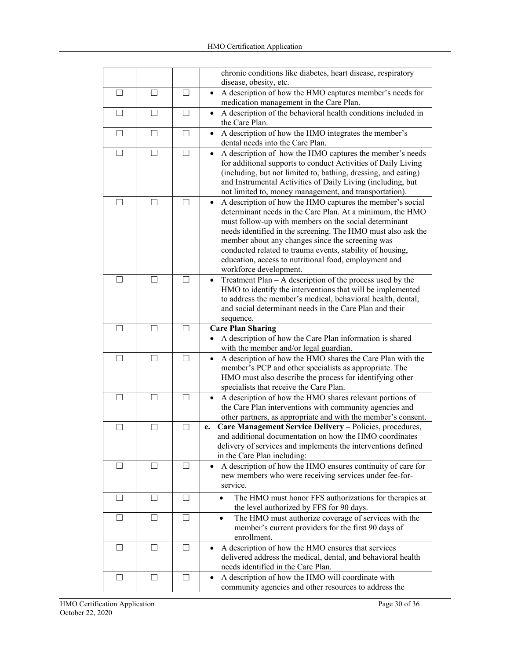|         |        |                   | chronic conditions like diabetes, heart disease, respiratory                                                                                                                                                                                                                                                                                                                                                                                                     |
|---------|--------|-------------------|------------------------------------------------------------------------------------------------------------------------------------------------------------------------------------------------------------------------------------------------------------------------------------------------------------------------------------------------------------------------------------------------------------------------------------------------------------------|
|         |        |                   | disease, obesity, etc.                                                                                                                                                                                                                                                                                                                                                                                                                                           |
| П       | П      | $\Box$            | A description of how the HMO captures member's needs for<br>$\bullet$<br>medication management in the Care Plan.                                                                                                                                                                                                                                                                                                                                                 |
| П       | П      | $\Box$            | A description of the behavioral health conditions included in<br>$\bullet$<br>the Care Plan.                                                                                                                                                                                                                                                                                                                                                                     |
| П       | П      | $\perp$           | A description of how the HMO integrates the member's<br>$\bullet$<br>dental needs into the Care Plan.                                                                                                                                                                                                                                                                                                                                                            |
| □       | П      | $\Box$            | A description of how the HMO captures the member's needs<br>for additional supports to conduct Activities of Daily Living<br>(including, but not limited to, bathing, dressing, and eating)                                                                                                                                                                                                                                                                      |
|         |        |                   | and Instrumental Activities of Daily Living (including, but<br>not limited to, money management, and transportation).                                                                                                                                                                                                                                                                                                                                            |
| $\perp$ | $\Box$ | П                 | A description of how the HMO captures the member's social<br>$\bullet$<br>determinant needs in the Care Plan. At a minimum, the HMO<br>must follow-up with members on the social determinant<br>needs identified in the screening. The HMO must also ask the<br>member about any changes since the screening was<br>conducted related to trauma events, stability of housing,<br>education, access to nutritional food, employment and<br>workforce development. |
| $\perp$ | П      | $\vert \ \ \vert$ | Treatment $Plan - A$ description of the process used by the<br>HMO to identify the interventions that will be implemented<br>to address the member's medical, behavioral health, dental,<br>and social determinant needs in the Care Plan and their<br>sequence.                                                                                                                                                                                                 |
| П       | П      | П                 | <b>Care Plan Sharing</b><br>A description of how the Care Plan information is shared                                                                                                                                                                                                                                                                                                                                                                             |
| П       | П      | П                 | with the member and/or legal guardian.<br>A description of how the HMO shares the Care Plan with the<br>$\bullet$<br>member's PCP and other specialists as appropriate. The<br>HMO must also describe the process for identifying other<br>specialists that receive the Care Plan.                                                                                                                                                                               |
| П       | П      | П                 | A description of how the HMO shares relevant portions of<br>$\bullet$<br>the Care Plan interventions with community agencies and<br>other partners, as appropriate and with the member's consent.                                                                                                                                                                                                                                                                |
| $\perp$ | $\Box$ | $\Box$            | Care Management Service Delivery - Policies, procedures,<br>e.<br>and additional documentation on how the HMO coordinates<br>delivery of services and implements the interventions defined<br>in the Care Plan including:                                                                                                                                                                                                                                        |
| $\perp$ | $\Box$ | $\mathsf{L}$      | A description of how the HMO ensures continuity of care for<br>new members who were receiving services under fee-for-<br>service.                                                                                                                                                                                                                                                                                                                                |
| $\Box$  | $\Box$ | $\Box$            | The HMO must honor FFS authorizations for therapies at<br>$\bullet$<br>the level authorized by FFS for 90 days.                                                                                                                                                                                                                                                                                                                                                  |
| П       | П      | П                 | The HMO must authorize coverage of services with the<br>$\bullet$<br>member's current providers for the first 90 days of<br>enrollment.                                                                                                                                                                                                                                                                                                                          |
| ⊔       | $\Box$ | $\Box$            | A description of how the HMO ensures that services<br>$\bullet$<br>delivered address the medical, dental, and behavioral health<br>needs identified in the Care Plan.                                                                                                                                                                                                                                                                                            |
| $\Box$  | П      | $\Box$            | A description of how the HMO will coordinate with<br>$\bullet$<br>community agencies and other resources to address the                                                                                                                                                                                                                                                                                                                                          |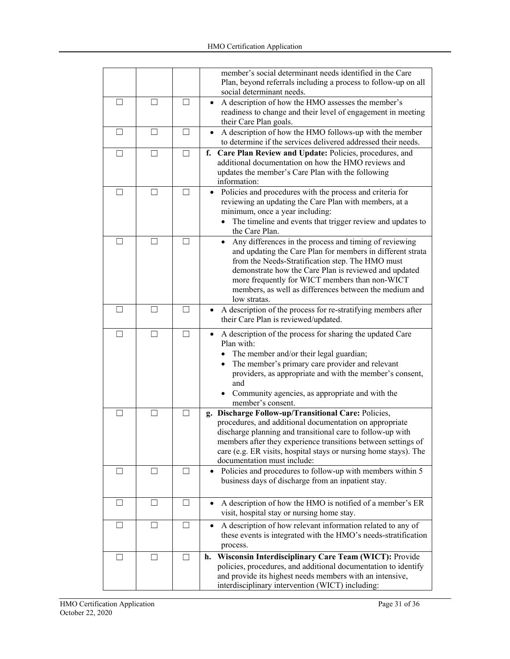|         |                   |         | member's social determinant needs identified in the Care<br>Plan, beyond referrals including a process to follow-up on all<br>social determinant needs.                                                                                                                                                                                                                    |
|---------|-------------------|---------|----------------------------------------------------------------------------------------------------------------------------------------------------------------------------------------------------------------------------------------------------------------------------------------------------------------------------------------------------------------------------|
| $\perp$ | $\vert \ \ \vert$ | $\perp$ | A description of how the HMO assesses the member's<br>readiness to change and their level of engagement in meeting<br>their Care Plan goals.                                                                                                                                                                                                                               |
| $\perp$ | $\vert \ \ \vert$ | $\Box$  | A description of how the HMO follows-up with the member<br>to determine if the services delivered addressed their needs.                                                                                                                                                                                                                                                   |
| $\perp$ | П                 | П       | f. Care Plan Review and Update: Policies, procedures, and<br>additional documentation on how the HMO reviews and<br>updates the member's Care Plan with the following<br>information:                                                                                                                                                                                      |
| $\perp$ | $\vert \ \ \vert$ | ſΙ      | Policies and procedures with the process and criteria for<br>reviewing an updating the Care Plan with members, at a<br>minimum, once a year including:<br>The timeline and events that trigger review and updates to<br>the Care Plan.                                                                                                                                     |
| $\perp$ | $\Box$            |         | Any differences in the process and timing of reviewing<br>$\bullet$<br>and updating the Care Plan for members in different strata<br>from the Needs-Stratification step. The HMO must<br>demonstrate how the Care Plan is reviewed and updated<br>more frequently for WICT members than non-WICT<br>members, as well as differences between the medium and<br>low stratas. |
| П       | П                 | П       | A description of the process for re-stratifying members after<br>their Care Plan is reviewed/updated.                                                                                                                                                                                                                                                                      |
| П       | П                 | $\Box$  | A description of the process for sharing the updated Care<br>$\bullet$<br>Plan with:<br>• The member and/or their legal guardian;<br>The member's primary care provider and relevant<br>$\bullet$<br>providers, as appropriate and with the member's consent,<br>and<br>Community agencies, as appropriate and with the<br>member's consent.                               |
| $\perp$ | $\Box$            | П       | g. Discharge Follow-up/Transitional Care: Policies,<br>procedures, and additional documentation on appropriate<br>discharge planning and transitional care to follow-up with<br>members after they experience transitions between settings of<br>care (e.g. ER visits, hospital stays or nursing home stays). The<br>documentation must include:                           |
| ш       | $\Box$            |         | Policies and procedures to follow-up with members within 5<br>$\bullet$<br>business days of discharge from an inpatient stay.                                                                                                                                                                                                                                              |
| ⊔       | $\Box$            | $\perp$ | A description of how the HMO is notified of a member's ER<br>visit, hospital stay or nursing home stay.                                                                                                                                                                                                                                                                    |
| $\Box$  | П                 |         | A description of how relevant information related to any of<br>these events is integrated with the HMO's needs-stratification<br>process.                                                                                                                                                                                                                                  |
| ⊔       | $\Box$            | $\Box$  | Wisconsin Interdisciplinary Care Team (WICT): Provide<br>h.<br>policies, procedures, and additional documentation to identify<br>and provide its highest needs members with an intensive,<br>interdisciplinary intervention (WICT) including:                                                                                                                              |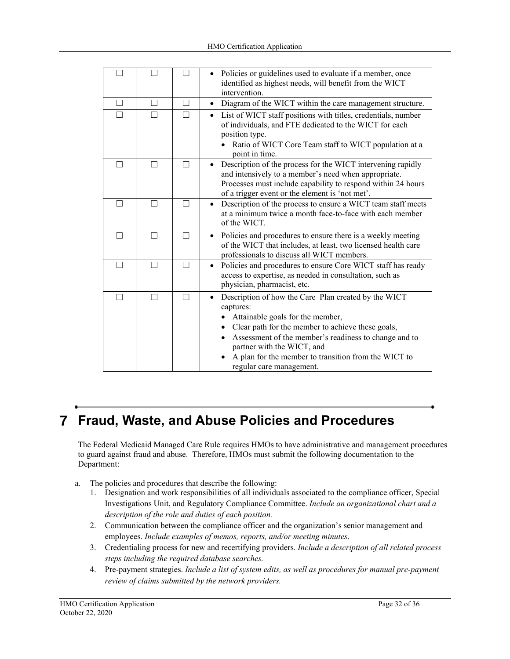|                          |                   | Policies or guidelines used to evaluate if a member, once<br>identified as highest needs, will benefit from the WICT<br>intervention.                                                                                                                                                                                                              |
|--------------------------|-------------------|----------------------------------------------------------------------------------------------------------------------------------------------------------------------------------------------------------------------------------------------------------------------------------------------------------------------------------------------------|
| $\overline{\phantom{0}}$ | П                 | Diagram of the WICT within the care management structure.<br>$\bullet$                                                                                                                                                                                                                                                                             |
|                          |                   | List of WICT staff positions with titles, credentials, number<br>of individuals, and FTE dedicated to the WICT for each<br>position type.<br>Ratio of WICT Core Team staff to WICT population at a<br>point in time.                                                                                                                               |
|                          | П                 | Description of the process for the WICT intervening rapidly<br>and intensively to a member's need when appropriate.<br>Processes must include capability to respond within 24 hours<br>of a trigger event or the element is 'not met'.                                                                                                             |
|                          |                   | Description of the process to ensure a WICT team staff meets<br>$\bullet$<br>at a minimum twice a month face-to-face with each member<br>of the WICT.                                                                                                                                                                                              |
|                          |                   | Policies and procedures to ensure there is a weekly meeting<br>$\bullet$<br>of the WICT that includes, at least, two licensed health care<br>professionals to discuss all WICT members.                                                                                                                                                            |
| П                        | П                 | Policies and procedures to ensure Core WICT staff has ready<br>$\bullet$<br>access to expertise, as needed in consultation, such as<br>physician, pharmacist, etc.                                                                                                                                                                                 |
| $\perp$                  | $\vert \ \ \vert$ | Description of how the Care Plan created by the WICT<br>$\bullet$<br>captures:<br>Attainable goals for the member,<br>Clear path for the member to achieve these goals,<br>Assessment of the member's readiness to change and to<br>partner with the WICT, and<br>A plan for the member to transition from the WICT to<br>regular care management. |

# **Fraud, Waste, and Abuse Policies and Procedures**

The Federal Medicaid Managed Care Rule requires HMOs to have administrative and management procedures to guard against fraud and abuse. Therefore, HMOs must submit the following documentation to the Department:

- a. The policies and procedures that describe the following:
	- 1. Designation and work responsibilities of all individuals associated to the compliance officer, Special Investigations Unit, and Regulatory Compliance Committee. *Include an organizational chart and a description of the role and duties of each position.*
	- 2. Communication between the compliance officer and the organization's senior management and employees. *Include examples of memos, reports, and/or meeting minutes*.
	- 3. Credentialing process for new and recertifying providers. *Include a description of all related process steps including the required database searches.*
	- 4. Pre-payment strategies. *Include a list of system edits, as well as procedures for manual pre-payment review of claims submitted by the network providers.*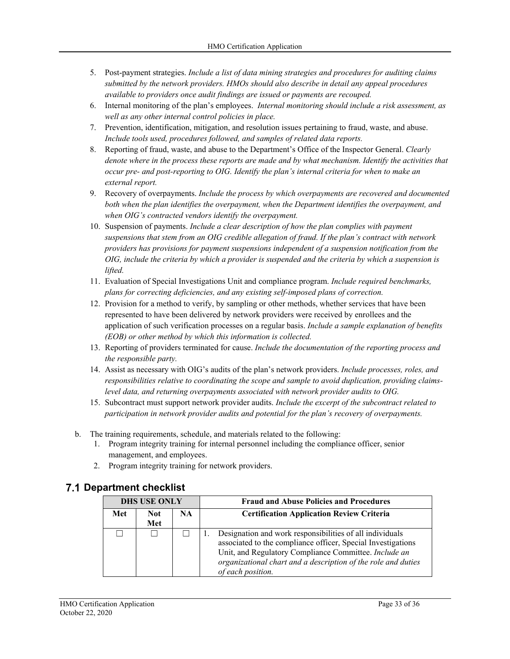- 5. Post-payment strategies. *Include a list of data mining strategies and procedures for auditing claims submitted by the network providers. HMOs should also describe in detail any appeal procedures available to providers once audit findings are issued or payments are recouped.*
- 6. Internal monitoring of the plan's employees. *Internal monitoring should include a risk assessment, as well as any other internal control policies in place.*
- 7. Prevention, identification, mitigation, and resolution issues pertaining to fraud, waste, and abuse. *Include tools used, procedures followed, and samples of related data reports.*
- 8. Reporting of fraud, waste, and abuse to the Department's Office of the Inspector General. *Clearly denote where in the process these reports are made and by what mechanism. Identify the activities that occur pre- and post-reporting to OIG. Identify the plan's internal criteria for when to make an external report.*
- 9. Recovery of overpayments. *Include the process by which overpayments are recovered and documented both when the plan identifies the overpayment, when the Department identifies the overpayment, and when OIG's contracted vendors identify the overpayment.*
- 10. Suspension of payments. *Include a clear description of how the plan complies with payment suspensions that stem from an OIG credible allegation of fraud. If the plan's contract with network providers has provisions for payment suspensions independent of a suspension notification from the OIG, include the criteria by which a provider is suspended and the criteria by which a suspension is lifted.*
- 11. Evaluation of Special Investigations Unit and compliance program. *Include required benchmarks, plans for correcting deficiencies, and any existing self-imposed plans of correction.*
- 12. Provision for a method to verify, by sampling or other methods, whether services that have been represented to have been delivered by network providers were received by enrollees and the application of such verification processes on a regular basis. *Include a sample explanation of benefits (EOB) or other method by which this information is collected.*
- 13. Reporting of providers terminated for cause. *Include the documentation of the reporting process and the responsible party.*
- 14. Assist as necessary with OIG's audits of the plan's network providers. *Include processes, roles, and responsibilities relative to coordinating the scope and sample to avoid duplication, providing claimslevel data, and returning overpayments associated with network provider audits to OIG.*
- 15. Subcontract must support network provider audits. *Include the excerpt of the subcontract related to participation in network provider audits and potential for the plan's recovery of overpayments.*
- b. The training requirements, schedule, and materials related to the following:
	- 1. Program integrity training for internal personnel including the compliance officer, senior management, and employees.
	- 2. Program integrity training for network providers.

| <b>DHS USE ONLY</b> |                   |     | <b>Fraud and Abuse Policies and Procedures</b>                                                                                                                                                                                                                          |
|---------------------|-------------------|-----|-------------------------------------------------------------------------------------------------------------------------------------------------------------------------------------------------------------------------------------------------------------------------|
| Met                 | <b>Not</b><br>Met | NA. | <b>Certification Application Review Criteria</b>                                                                                                                                                                                                                        |
|                     |                   |     | Designation and work responsibilities of all individuals<br>associated to the compliance officer, Special Investigations<br>Unit, and Regulatory Compliance Committee. Include an<br>organizational chart and a description of the role and duties<br>of each position. |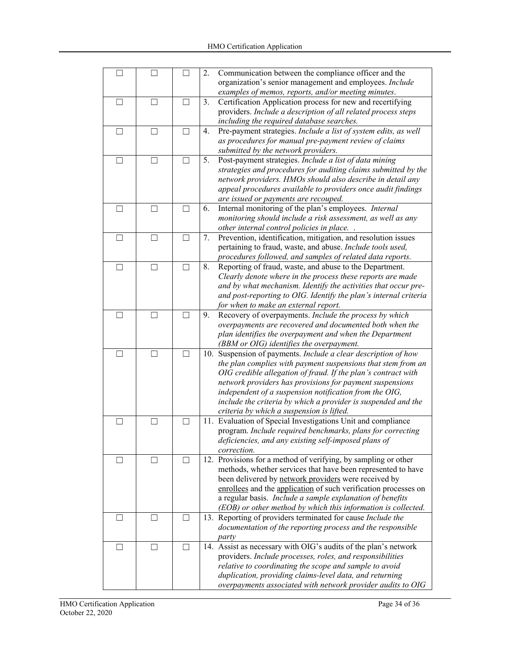| П      | П      |    | 2. | Communication between the compliance officer and the<br>organization's senior management and employees. Include           |
|--------|--------|----|----|---------------------------------------------------------------------------------------------------------------------------|
|        |        |    |    | examples of memos, reports, and/or meeting minutes.                                                                       |
| П      | П      | П  | 3. | Certification Application process for new and recertifying                                                                |
|        |        |    |    | providers. Include a description of all related process steps                                                             |
|        |        |    |    | including the required database searches.                                                                                 |
| $\Box$ | $\Box$ | П  | 4. | Pre-payment strategies. Include a list of system edits, as well                                                           |
|        |        |    |    | as procedures for manual pre-payment review of claims                                                                     |
|        |        |    |    | submitted by the network providers.                                                                                       |
| □      | П      | ΓI | 5. | Post-payment strategies. Include a list of data mining                                                                    |
|        |        |    |    | strategies and procedures for auditing claims submitted by the                                                            |
|        |        |    |    | network providers. HMOs should also describe in detail any                                                                |
|        |        |    |    | appeal procedures available to providers once audit findings                                                              |
|        |        |    |    | are issued or payments are recouped.                                                                                      |
| $\Box$ | П      | П  | 6. | Internal monitoring of the plan's employees. Internal                                                                     |
|        |        |    |    | monitoring should include a risk assessment, as well as any                                                               |
|        |        |    |    | other internal control policies in place. .                                                                               |
| $\Box$ | П      | П  | 7. | Prevention, identification, mitigation, and resolution issues                                                             |
|        |        |    |    | pertaining to fraud, waste, and abuse. Include tools used,                                                                |
|        |        |    |    | procedures followed, and samples of related data reports.                                                                 |
| П      | П      | П  | 8. | Reporting of fraud, waste, and abuse to the Department.                                                                   |
|        |        |    |    | Clearly denote where in the process these reports are made                                                                |
|        |        |    |    | and by what mechanism. Identify the activities that occur pre-                                                            |
|        |        |    |    | and post-reporting to OIG. Identify the plan's internal criteria                                                          |
|        |        |    |    | for when to make an external report.                                                                                      |
| . . I  |        |    | 9. | Recovery of overpayments. Include the process by which                                                                    |
|        |        |    |    | overpayments are recovered and documented both when the                                                                   |
|        |        |    |    | plan identifies the overpayment and when the Department                                                                   |
|        |        |    |    | (BBM or OIG) identifies the overpayment.                                                                                  |
| П      | П      | П  |    | 10. Suspension of payments. Include a clear description of how                                                            |
|        |        |    |    | the plan complies with payment suspensions that stem from an                                                              |
|        |        |    |    | OIG credible allegation of fraud. If the plan's contract with<br>network providers has provisions for payment suspensions |
|        |        |    |    | independent of a suspension notification from the OIG,                                                                    |
|        |        |    |    | include the criteria by which a provider is suspended and the                                                             |
|        |        |    |    | criteria by which a suspension is lifted.                                                                                 |
| $\Box$ | $\Box$ | □  |    | 11. Evaluation of Special Investigations Unit and compliance                                                              |
|        |        |    |    | program. Include required benchmarks, plans for correcting                                                                |
|        |        |    |    | deficiencies, and any existing self-imposed plans of                                                                      |
|        |        |    |    | correction.                                                                                                               |
| - 1    |        |    |    | 12. Provisions for a method of verifying, by sampling or other                                                            |
|        |        |    |    | methods, whether services that have been represented to have                                                              |
|        |        |    |    | been delivered by network providers were received by                                                                      |
|        |        |    |    | enrollees and the application of such verification processes on                                                           |
|        |        |    |    | a regular basis. Include a sample explanation of benefits                                                                 |
|        |        |    |    | (EOB) or other method by which this information is collected.                                                             |
| $\Box$ | П      | П  |    | 13. Reporting of providers terminated for cause Include the                                                               |
|        |        |    |    | documentation of the reporting process and the responsible                                                                |
|        |        |    |    | party                                                                                                                     |
| □      | $\Box$ | П  |    | 14. Assist as necessary with OIG's audits of the plan's network                                                           |
|        |        |    |    | providers. Include processes, roles, and responsibilities                                                                 |
|        |        |    |    | relative to coordinating the scope and sample to avoid                                                                    |
|        |        |    |    | duplication, providing claims-level data, and returning                                                                   |
|        |        |    |    | overpayments associated with network provider audits to OIG                                                               |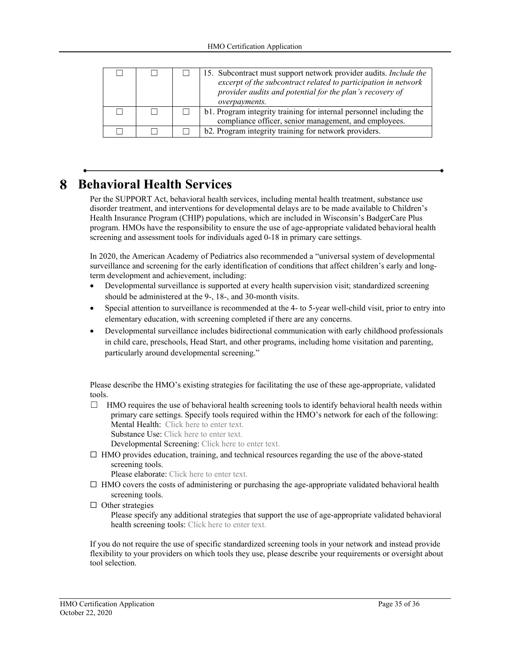|  | 15. Subcontract must support network provider audits. <i>Include the</i><br>excerpt of the subcontract related to participation in network<br>provider audits and potential for the plan's recovery of<br>overpayments. |
|--|-------------------------------------------------------------------------------------------------------------------------------------------------------------------------------------------------------------------------|
|  | b1. Program integrity training for internal personnel including the<br>compliance officer, senior management, and employees.                                                                                            |
|  | b2. Program integrity training for network providers.                                                                                                                                                                   |

#### **Behavioral Health Services**  8

Per the SUPPORT Act, behavioral health services, including mental health treatment, substance use disorder treatment, and interventions for developmental delays are to be made available to Children's Health Insurance Program (CHIP) populations, which are included in Wisconsin's BadgerCare Plus program. HMOs have the responsibility to ensure the use of age-appropriate validated behavioral health screening and assessment tools for individuals aged 0-18 in primary care settings.

In 2020, the American Academy of Pediatrics also recommended a "universal system of developmental surveillance and screening for the early identification of conditions that affect children's early and longterm development and achievement, including:

- Developmental surveillance is supported at every health supervision visit; standardized screening should be administered at the 9-, 18-, and 30-month visits.
- Special attention to surveillance is recommended at the 4- to 5-year well-child visit, prior to entry into elementary education, with screening completed if there are any concerns.
- Developmental surveillance includes bidirectional communication with early childhood professionals in child care, preschools, Head Start, and other programs, including home visitation and parenting, particularly around developmental screening."

Please describe the HMO's existing strategies for facilitating the use of these age-appropriate, validated tools.

 $\Box$  HMO requires the use of behavioral health screening tools to identify behavioral health needs within primary care settings. Specify tools required within the HMO's network for each of the following: Mental Health: Click here to enter text.

Substance Use: Click here to enter text.

Developmental Screening: Click here to enter text.

 $\Box$  HMO provides education, training, and technical resources regarding the use of the above-stated screening tools.

Please elaborate: Click here to enter text.

- $\Box$  HMO covers the costs of administering or purchasing the age-appropriate validated behavioral health screening tools.
- $\Box$  Other strategies

Please specify any additional strategies that support the use of age-appropriate validated behavioral health screening tools: Click here to enter text.

If you do not require the use of specific standardized screening tools in your network and instead provide flexibility to your providers on which tools they use, please describe your requirements or oversight about tool selection.